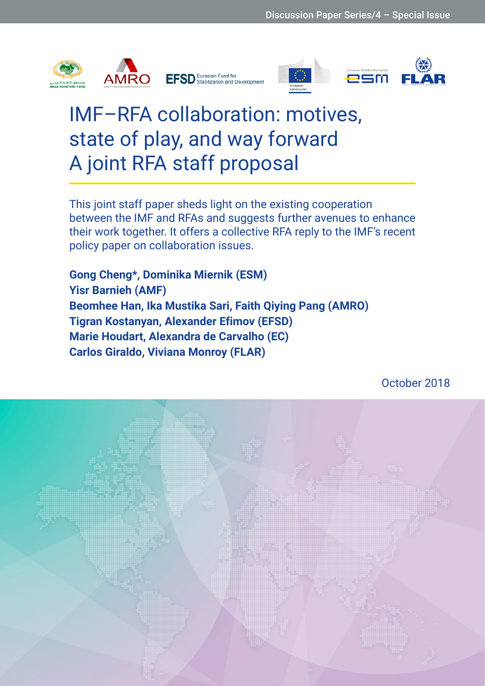









# IMF–RFA collaboration: motives, state of play, and way forward A joint RFA staff proposal

This joint staff paper sheds light on the existing cooperation between the IMF and RFAs and suggests further avenues to enhance their work together. It offers a collective RFA reply to the IMF's recent policy paper on collaboration issues.

**Gong Cheng\*, Dominika Miernik (ESM) Yisr Barnieh (AMF) Beomhee Han, Ika Mustika Sari, Faith Qiying Pang (AMRO) Tigran Kostanyan, Alexander Efimov (EFSD) Marie Houdart, Alexandra de Carvalho (EC) Carlos Giraldo, Viviana Monroy (FLAR)**

October 2018

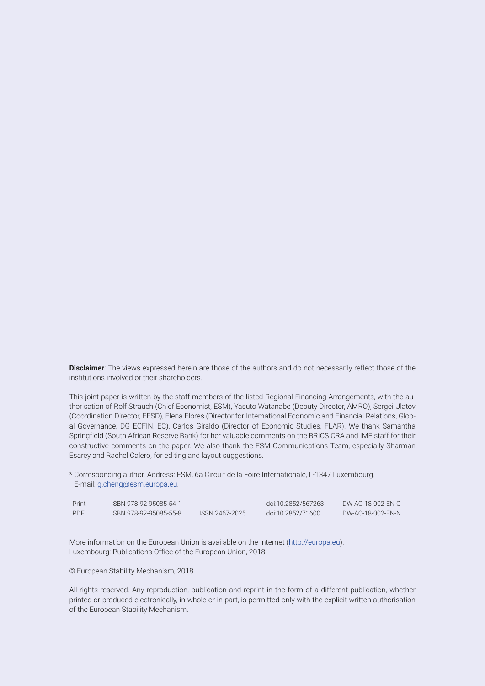**Disclaimer**: The views expressed herein are those of the authors and do not necessarily reflect those of the institutions involved or their shareholders.

This joint paper is written by the staff members of the listed Regional Financing Arrangements, with the authorisation of Rolf Strauch (Chief Economist, ESM), Yasuto Watanabe (Deputy Director, AMRO), Sergei Ulatov (Coordination Director, EFSD), Elena Flores (Director for International Economic and Financial Relations, Global Governance, DG ECFIN, EC), Carlos Giraldo (Director of Economic Studies, FLAR). We thank Samantha Springfield (South African Reserve Bank) for her valuable comments on the BRICS CRA and IMF staff for their constructive comments on the paper. We also thank the ESM Communications Team, especially Sharman Esarey and Rachel Calero, for editing and layout suggestions.

\* Corresponding author. Address: ESM, 6a Circuit de la Foire Internationale, L-1347 Luxembourg. E-mail: [g.cheng@esm.europa.eu.](mailto:g.cheng@esm.europa.eu)

| Print | ISBN 978-92-95085-54-1 |                | doi:10.2852/567263 | DW-AC-18-002-EN-C |
|-------|------------------------|----------------|--------------------|-------------------|
| PDF   | ISBN 978-92-95085-55-8 | ISSN 2467-2025 | doi:10.2852/71600  | DW-AC-18-002-EN-N |

More information on the European Union is available on the Internet (<http://europa.eu>). Luxembourg: Publications Office of the European Union, 2018

#### © European Stability Mechanism, 2018

All rights reserved. Any reproduction, publication and reprint in the form of a different publication, whether printed or produced electronically, in whole or in part, is permitted only with the explicit written authorisation of the European Stability Mechanism.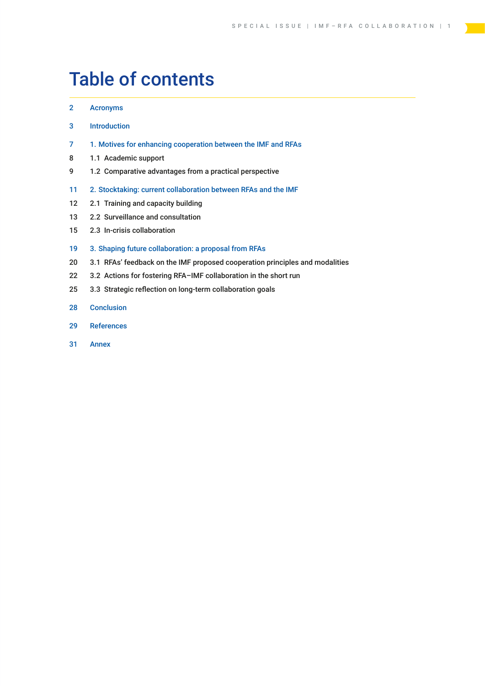## Table of contents

#### [2 Acronyms](#page-3-0)

- 3 [Introduction](#page-4-0)
- 7 1. [Motives for enhancing cooperation between the IMF and RFAs](#page-8-0)
- [8 1.1 Academic](#page-9-0) support
- [9 1.2 Comparative](#page-10-0) advantages from a practical perspective
- 11 2. [Stocktaking: current collaboration between RFAs and the IMF](#page-12-0)
- 12 2.1 Training and capacity building
- [13 2.2 Surveillance](#page-14-0) and consultation
- [15 2.3 In-crisis](#page-16-0) collaboration

#### 19 3. Shaping future collaboration: [a proposal from RFAs](#page-20-0)

- 20 3.1 RFAs' feedback on the IMF proposed cooperation principles and modalities
- 22 3.2 Actions for fostering RFA-IMF collaboration in the short run
- [25 3.3 Strategic](#page-26-0) reflection on long-term collaboration goals
- [28 Conclusion](#page-29-0)
- 29 [References](#page-30-0)
- [31 Annex](#page-32-0)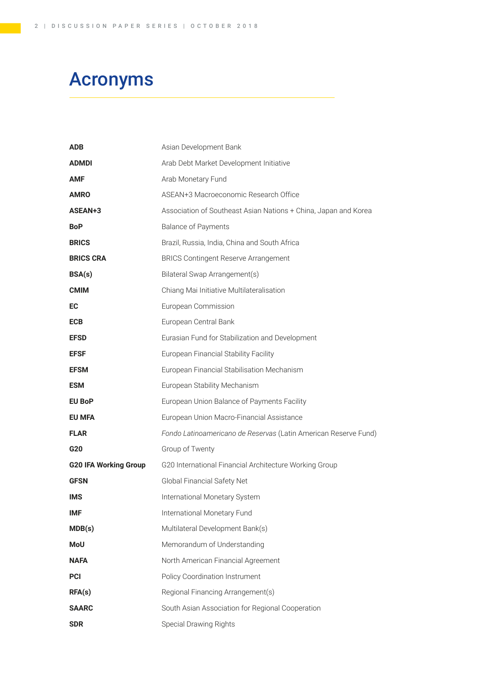## <span id="page-3-0"></span>Acronyms

| <b>ADB</b>                   | Asian Development Bank                                          |
|------------------------------|-----------------------------------------------------------------|
| <b>ADMDI</b>                 | Arab Debt Market Development Initiative                         |
| <b>AMF</b>                   | Arab Monetary Fund                                              |
| <b>AMRO</b>                  | ASEAN+3 Macroeconomic Research Office                           |
| ASEAN+3                      | Association of Southeast Asian Nations + China, Japan and Korea |
| <b>BoP</b>                   | <b>Balance of Payments</b>                                      |
| <b>BRICS</b>                 | Brazil, Russia, India, China and South Africa                   |
| <b>BRICS CRA</b>             | <b>BRICS Contingent Reserve Arrangement</b>                     |
| BSA(s)                       | Bilateral Swap Arrangement(s)                                   |
| <b>CMIM</b>                  | Chiang Mai Initiative Multilateralisation                       |
| EC                           | European Commission                                             |
| <b>ECB</b>                   | European Central Bank                                           |
| <b>EFSD</b>                  | Eurasian Fund for Stabilization and Development                 |
| <b>EFSF</b>                  | European Financial Stability Facility                           |
| <b>EFSM</b>                  | European Financial Stabilisation Mechanism                      |
| <b>ESM</b>                   | European Stability Mechanism                                    |
| <b>EU BoP</b>                | European Union Balance of Payments Facility                     |
| <b>EU MFA</b>                | European Union Macro-Financial Assistance                       |
| <b>FLAR</b>                  | Fondo Latinoamericano de Reservas (Latin American Reserve Fund) |
| G20                          | Group of Twenty                                                 |
| <b>G20 IFA Working Group</b> | G20 International Financial Architecture Working Group          |
| <b>GFSN</b>                  | Global Financial Safety Net                                     |
| <b>IMS</b>                   | International Monetary System                                   |
| <b>IMF</b>                   | International Monetary Fund                                     |
| MDB(s)                       | Multilateral Development Bank(s)                                |
| MoU                          | Memorandum of Understanding                                     |
| <b>NAFA</b>                  | North American Financial Agreement                              |
| <b>PCI</b>                   | Policy Coordination Instrument                                  |
| RFA(s)                       | Regional Financing Arrangement(s)                               |
| <b>SAARC</b>                 | South Asian Association for Regional Cooperation                |
| <b>SDR</b>                   | Special Drawing Rights                                          |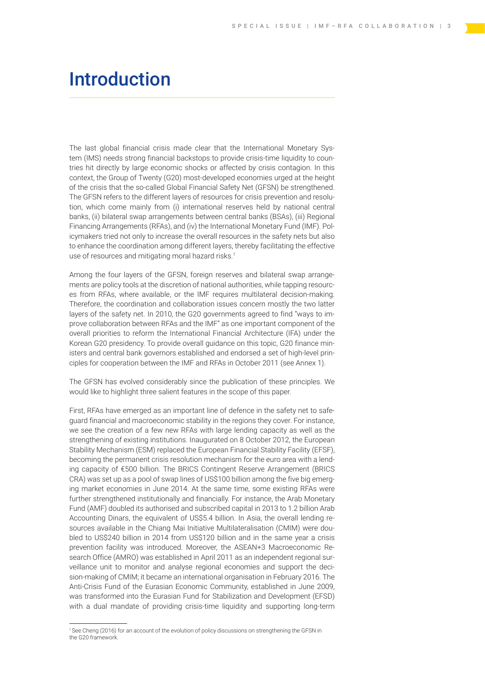## <span id="page-4-0"></span>Introduction

The last global financial crisis made clear that the International Monetary System (IMS) needs strong financial backstops to provide crisis-time liquidity to countries hit directly by large economic shocks or affected by crisis contagion. In this context, the Group of Twenty (G20) most-developed economies urged at the height of the crisis that the so-called Global Financial Safety Net (GFSN) be strengthened. The GFSN refers to the different layers of resources for crisis prevention and resolution, which come mainly from (i) international reserves held by national central banks, (ii) bilateral swap arrangements between central banks (BSAs), (iii) Regional Financing Arrangements (RFAs), and (iv) the International Monetary Fund (IMF). Policymakers tried not only to increase the overall resources in the safety nets but also to enhance the coordination among different layers, thereby facilitating the effective use of resources and mitigating moral hazard risks.<sup>1</sup>

Among the four layers of the GFSN, foreign reserves and bilateral swap arrangements are policy tools at the discretion of national authorities, while tapping resources from RFAs, where available, or the IMF requires multilateral decision-making. Therefore, the coordination and collaboration issues concern mostly the two latter layers of the safety net. In 2010, the G20 governments agreed to find "ways to improve collaboration between RFAs and the IMF" as one important component of the overall priorities to reform the International Financial Architecture (IFA) under the Korean G20 presidency. To provide overall guidance on this topic, G20 finance ministers and central bank governors established and endorsed a set of high-level principles for cooperation between the IMF and RFAs in October 2011 (see Annex 1).

The GFSN has evolved considerably since the publication of these principles. We would like to highlight three salient features in the scope of this paper.

First, RFAs have emerged as an important line of defence in the safety net to safeguard financial and macroeconomic stability in the regions they cover. For instance, we see the creation of a few new RFAs with large lending capacity as well as the strengthening of existing institutions. Inaugurated on 8 October 2012, the European Stability Mechanism (ESM) replaced the European Financial Stability Facility (EFSF), becoming the permanent crisis resolution mechanism for the euro area with a lending capacity of €500 billion. The BRICS Contingent Reserve Arrangement (BRICS CRA) was set up as a pool of swap lines of US\$100 billion among the five big emerging market economies in June 2014. At the same time, some existing RFAs were further strengthened institutionally and financially. For instance, the Arab Monetary Fund (AMF) doubled its authorised and subscribed capital in 2013 to 1.2 billion Arab Accounting Dinars, the equivalent of US\$5.4 billion. In Asia, the overall lending resources available in the Chiang Mai Initiative Multilateralisation (CMIM) were doubled to US\$240 billion in 2014 from US\$120 billion and in the same year a crisis prevention facility was introduced. Moreover, the ASEAN+3 Macroeconomic Research Office (AMRO) was established in April 2011 as an independent regional surveillance unit to monitor and analyse regional economies and support the decision-making of CMIM; it became an international organisation in February 2016. The Anti-Crisis Fund of the Eurasian Economic Community, established in June 2009, was transformed into the Eurasian Fund for Stabilization and Development (EFSD) with a dual mandate of providing crisis-time liquidity and supporting long-term

<sup>1</sup> See Cheng (2016) for an account of the evolution of policy discussions on strengthening the GFSN in the G20 framework.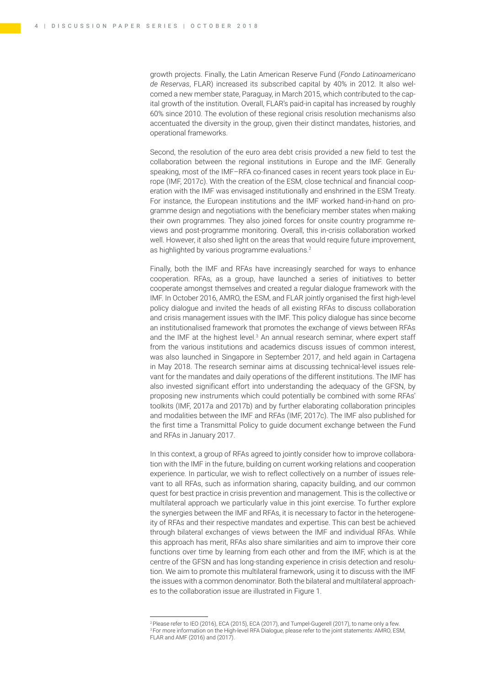growth projects. Finally, the Latin American Reserve Fund (*Fondo Latinoamericano de Reservas*, FLAR) increased its subscribed capital by 40% in 2012. It also welcomed a new member state, Paraguay, in March 2015, which contributed to the capital growth of the institution. Overall, FLAR's paid-in capital has increased by roughly 60% since 2010. The evolution of these regional crisis resolution mechanisms also accentuated the diversity in the group, given their distinct mandates, histories, and operational frameworks.

Second, the resolution of the euro area debt crisis provided a new field to test the collaboration between the regional institutions in Europe and the IMF. Generally speaking, most of the IMF–RFA co-financed cases in recent years took place in Europe (IMF, 2017c). With the creation of the ESM, close technical and financial cooperation with the IMF was envisaged institutionally and enshrined in the ESM Treaty. For instance, the European institutions and the IMF worked hand-in-hand on programme design and negotiations with the beneficiary member states when making their own programmes. They also joined forces for onsite country programme reviews and post-programme monitoring. Overall, this in-crisis collaboration worked well. However, it also shed light on the areas that would require future improvement, as highlighted by various programme evaluations.<sup>2</sup>

Finally, both the IMF and RFAs have increasingly searched for ways to enhance cooperation. RFAs, as a group, have launched a series of initiatives to better cooperate amongst themselves and created a regular dialogue framework with the IMF. In October 2016, AMRO, the ESM, and FLAR jointly organised the first high-level policy dialogue and invited the heads of all existing RFAs to discuss collaboration and crisis management issues with the IMF. This policy dialogue has since become an institutionalised framework that promotes the exchange of views between RFAs and the IMF at the highest level.<sup>3</sup> An annual research seminar, where expert staff from the various institutions and academics discuss issues of common interest, was also launched in Singapore in September 2017, and held again in Cartagena in May 2018. The research seminar aims at discussing technical-level issues relevant for the mandates and daily operations of the different institutions. The IMF has also invested significant effort into understanding the adequacy of the GFSN, by proposing new instruments which could potentially be combined with some RFAs' toolkits (IMF, 2017a and 2017b) and by further elaborating collaboration principles and modalities between the IMF and RFAs (IMF, 2017c). The IMF also published for the first time a Transmittal Policy to guide document exchange between the Fund and RFAs in January 2017.

In this context, a group of RFAs agreed to jointly consider how to improve collaboration with the IMF in the future, building on current working relations and cooperation experience. In particular, we wish to reflect collectively on a number of issues relevant to all RFAs, such as information sharing, capacity building, and our common quest for best practice in crisis prevention and management. This is the collective or multilateral approach we particularly value in this joint exercise. To further explore the synergies between the IMF and RFAs, it is necessary to factor in the heterogeneity of RFAs and their respective mandates and expertise. This can best be achieved through bilateral exchanges of views between the IMF and individual RFAs. While this approach has merit, RFAs also share similarities and aim to improve their core functions over time by learning from each other and from the IMF, which is at the centre of the GFSN and has long-standing experience in crisis detection and resolution. We aim to promote this multilateral framework, using it to discuss with the IMF the issues with a common denominator. Both the bilateral and multilateral approaches to the collaboration issue are illustrated in Figure 1.

<sup>&</sup>lt;sup>2</sup> Please refer to IEO (2016), ECA (2015), ECA (2017), and Tumpel-Gugerell (2017), to name only a few. <sup>3</sup> For more information on the High-level RFA Dialogue, please refer to the joint statements: AMRO, ESM, FLAR and AMF (2016) and (2017).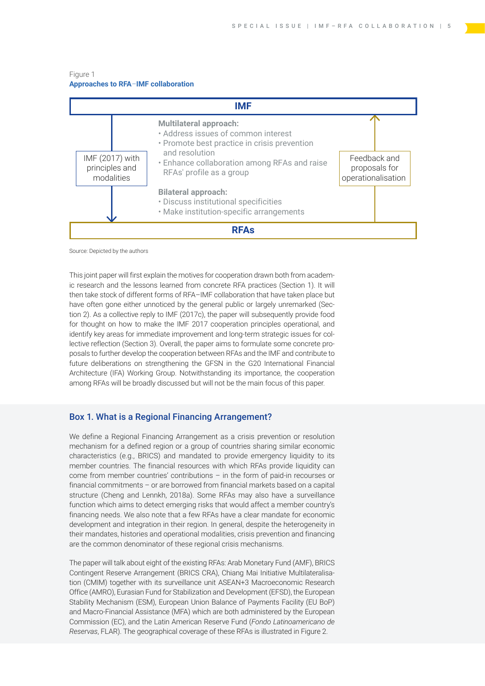#### Figure 1 **Approaches to RFA***–***IMF collaboration**



Source: Depicted by the authors

This joint paper will first explain the motives for cooperation drawn both from academic research and the lessons learned from concrete RFA practices (Section 1). It will then take stock of different forms of RFA–IMF collaboration that have taken place but have often gone either unnoticed by the general public or largely unremarked (Section 2). As a collective reply to IMF (2017c), the paper will subsequently provide food for thought on how to make the IMF 2017 cooperation principles operational, and identify key areas for immediate improvement and long-term strategic issues for collective reflection (Section 3). Overall, the paper aims to formulate some concrete proposals to further develop the cooperation between RFAs and the IMF and contribute to future deliberations on strengthening the GFSN in the G20 International Financial Architecture (IFA) Working Group. Notwithstanding its importance, the cooperation among RFAs will be broadly discussed but will not be the main focus of this paper.

#### Box 1. What is a Regional Financing Arrangement?

We define a Regional Financing Arrangement as a crisis prevention or resolution mechanism for a defined region or a group of countries sharing similar economic characteristics (e.g., BRICS) and mandated to provide emergency liquidity to its member countries. The financial resources with which RFAs provide liquidity can come from member countries' contributions – in the form of paid-in recourses or financial commitments – or are borrowed from financial markets based on a capital structure (Cheng and Lennkh, 2018a). Some RFAs may also have a surveillance function which aims to detect emerging risks that would affect a member country's financing needs. We also note that a few RFAs have a clear mandate for economic development and integration in their region. In general, despite the heterogeneity in their mandates, histories and operational modalities, crisis prevention and financing are the common denominator of these regional crisis mechanisms.

The paper will talk about eight of the existing RFAs: Arab Monetary Fund (AMF), BRICS Contingent Reserve Arrangement (BRICS CRA), Chiang Mai Initiative Multilateralisation (CMIM) together with its surveillance unit ASEAN+3 Macroeconomic Research Office (AMRO), Eurasian Fund for Stabilization and Development (EFSD), the European Stability Mechanism (ESM), European Union Balance of Payments Facility (EU BoP) and Macro-Financial Assistance (MFA) which are both administered by the European Commission (EC), and the Latin American Reserve Fund (*Fondo Latinoamericano de Reservas*, FLAR). The geographical coverage of these RFAs is illustrated in Figure 2.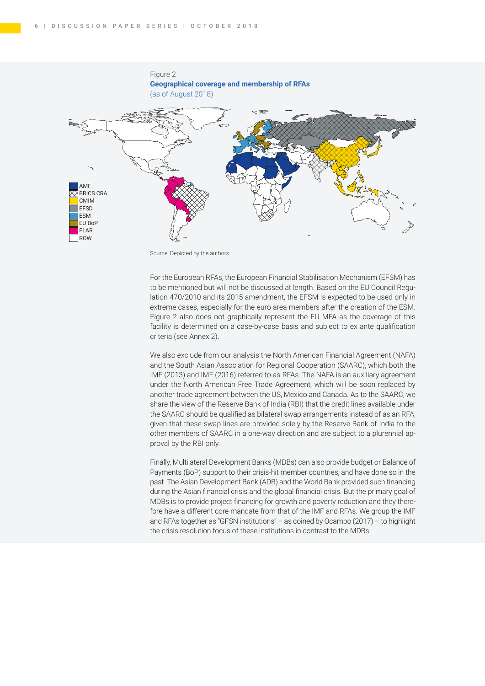

Source: Depicted by the authors

For the European RFAs, the European Financial Stabilisation Mechanism (EFSM) has to be mentioned but will not be discussed at length. Based on the EU Council Regulation 470/2010 and its 2015 amendment, the EFSM is expected to be used only in extreme cases, especially for the euro area members after the creation of the ESM. Figure 2 also does not graphically represent the EU MFA as the coverage of this facility is determined on a case-by-case basis and subject to ex ante qualification criteria (see Annex 2).

We also exclude from our analysis the North American Financial Agreement (NAFA) and the South Asian Association for Regional Cooperation (SAARC), which both the IMF (2013) and IMF (2016) referred to as RFAs. The NAFA is an auxiliary agreement under the North American Free Trade Agreement, which will be soon replaced by another trade agreement between the US, Mexico and Canada. As to the SAARC, we share the view of the Reserve Bank of India (RBI) that the credit lines available under the SAARC should be qualified as bilateral swap arrangements instead of as an RFA, given that these swap lines are provided solely by the Reserve Bank of India to the other members of SAARC in a one-way direction and are subject to a plurennial approval by the RBI only.

Finally, Multilateral Development Banks (MDBs) can also provide budget or Balance of Payments (BoP) support to their crisis-hit member countries, and have done so in the past. The Asian Development Bank (ADB) and the World Bank provided such financing during the Asian financial crisis and the global financial crisis. But the primary goal of MDBs is to provide project financing for growth and poverty reduction and they therefore have a different core mandate from that of the IMF and RFAs. We group the IMF and RFAs together as "GFSN institutions" – as coined by Ocampo (2017) – to highlight the crisis resolution focus of these institutions in contrast to the MDBs.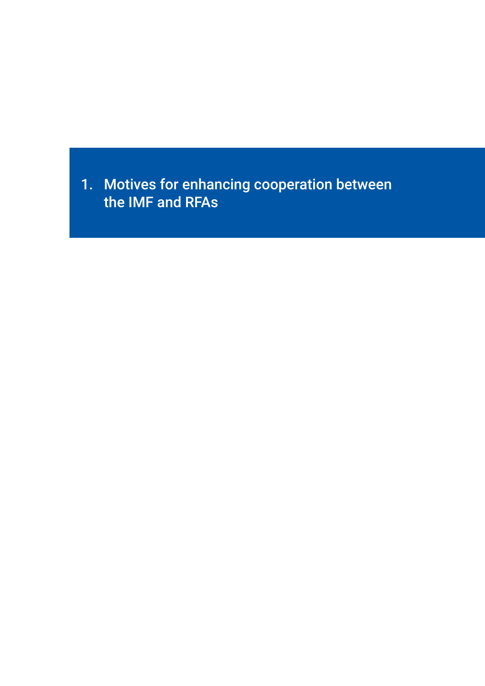<span id="page-8-0"></span>1. Motives for enhancing cooperation between the IMF and RFAs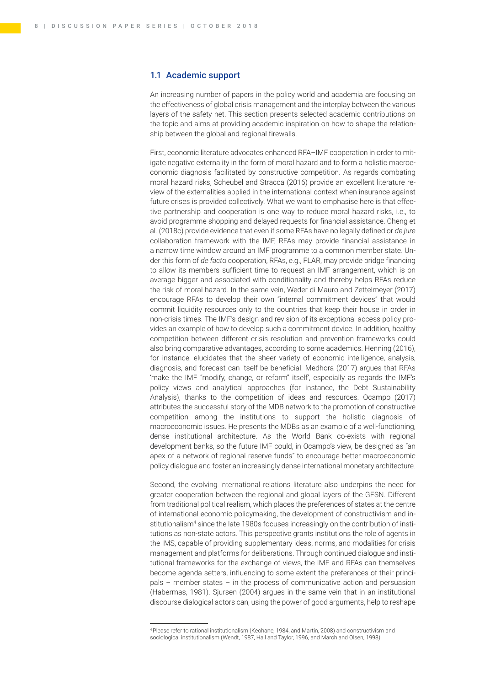#### <span id="page-9-0"></span>1.1 Academic support

An increasing number of papers in the policy world and academia are focusing on the effectiveness of global crisis management and the interplay between the various layers of the safety net. This section presents selected academic contributions on the topic and aims at providing academic inspiration on how to shape the relationship between the global and regional firewalls.

First, economic literature advocates enhanced RFA–IMF cooperation in order to mitigate negative externality in the form of moral hazard and to form a holistic macroeconomic diagnosis facilitated by constructive competition. As regards combating moral hazard risks, Scheubel and Stracca (2016) provide an excellent literature review of the externalities applied in the international context when insurance against future crises is provided collectively. What we want to emphasise here is that effective partnership and cooperation is one way to reduce moral hazard risks, i.e., to avoid programme shopping and delayed requests for financial assistance. Cheng et al. (2018c) provide evidence that even if some RFAs have no legally defined or *de jure* collaboration framework with the IMF, RFAs may provide financial assistance in a narrow time window around an IMF programme to a common member state. Under this form of *de fact*o cooperation, RFAs, e.g., FLAR, may provide bridge financing to allow its members sufficient time to request an IMF arrangement, which is on average bigger and associated with conditionality and thereby helps RFAs reduce the risk of moral hazard. In the same vein, Weder di Mauro and Zettelmeyer (2017) encourage RFAs to develop their own "internal commitment devices" that would commit liquidity resources only to the countries that keep their house in order in non-crisis times. The IMF's design and revision of its exceptional access policy provides an example of how to develop such a commitment device. In addition, healthy competition between different crisis resolution and prevention frameworks could also bring comparative advantages, according to some academics. Henning (2016), for instance, elucidates that the sheer variety of economic intelligence, analysis, diagnosis, and forecast can itself be beneficial. Medhora (2017) argues that RFAs 'make the IMF "modify, change, or reform" itself', especially as regards the IMF's policy views and analytical approaches (for instance, the Debt Sustainability Analysis), thanks to the competition of ideas and resources. Ocampo (2017) attributes the successful story of the MDB network to the promotion of constructive competition among the institutions to support the holistic diagnosis of macroeconomic issues. He presents the MDBs as an example of a well-functioning, dense institutional architecture. As the World Bank co-exists with regional development banks, so the future IMF could, in Ocampo's view, be designed as "an apex of a network of regional reserve funds" to encourage better macroeconomic policy dialogue and foster an increasingly dense international monetary architecture.

Second, the evolving international relations literature also underpins the need for greater cooperation between the regional and global layers of the GFSN. Different from traditional political realism, which places the preferences of states at the centre of international economic policymaking, the development of constructivism and institutionalism<sup>4</sup> since the late 1980s focuses increasingly on the contribution of institutions as non-state actors. This perspective grants institutions the role of agents in the IMS, capable of providing supplementary ideas, norms, and modalities for crisis management and platforms for deliberations. Through continued dialogue and institutional frameworks for the exchange of views, the IMF and RFAs can themselves become agenda setters, influencing to some extent the preferences of their principals – member states – in the process of communicative action and persuasion (Habermas, 1981). Sjursen (2004) argues in the same vein that in an institutional discourse dialogical actors can, using the power of good arguments, help to reshape

<sup>4</sup> Please refer to rational institutionalism (Keohane, 1984, and Martin, 2008) and constructivism and sociological institutionalism (Wendt, 1987, Hall and Taylor, 1996, and March and Olsen, 1998).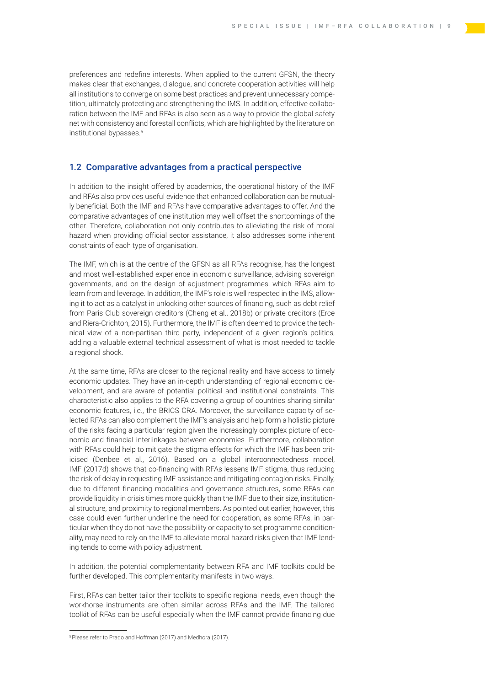<span id="page-10-0"></span>preferences and redefine interests. When applied to the current GFSN, the theory makes clear that exchanges, dialogue, and concrete cooperation activities will help all institutions to converge on some best practices and prevent unnecessary competition, ultimately protecting and strengthening the IMS. In addition, effective collaboration between the IMF and RFAs is also seen as a way to provide the global safety net with consistency and forestall conflicts, which are highlighted by the literature on institutional bypasses.5

#### 1.2 Comparative advantages from a practical perspective

In addition to the insight offered by academics, the operational history of the IMF and RFAs also provides useful evidence that enhanced collaboration can be mutually beneficial. Both the IMF and RFAs have comparative advantages to offer. And the comparative advantages of one institution may well offset the shortcomings of the other. Therefore, collaboration not only contributes to alleviating the risk of moral hazard when providing official sector assistance, it also addresses some inherent constraints of each type of organisation.

The IMF, which is at the centre of the GFSN as all RFAs recognise, has the longest and most well-established experience in economic surveillance, advising sovereign governments, and on the design of adjustment programmes, which RFAs aim to learn from and leverage. In addition, the IMF's role is well respected in the IMS, allowing it to act as a catalyst in unlocking other sources of financing, such as debt relief from Paris Club sovereign creditors (Cheng et al., 2018b) or private creditors (Erce and Riera-Crichton, 2015). Furthermore, the IMF is often deemed to provide the technical view of a non-partisan third party, independent of a given region's politics, adding a valuable external technical assessment of what is most needed to tackle a regional shock.

At the same time, RFAs are closer to the regional reality and have access to timely economic updates. They have an in-depth understanding of regional economic development, and are aware of potential political and institutional constraints. This characteristic also applies to the RFA covering a group of countries sharing similar economic features, i.e., the BRICS CRA. Moreover, the surveillance capacity of selected RFAs can also complement the IMF's analysis and help form a holistic picture of the risks facing a particular region given the increasingly complex picture of economic and financial interlinkages between economies. Furthermore, collaboration with RFAs could help to mitigate the stigma effects for which the IMF has been criticised (Denbee et al., 2016). Based on a global interconnectedness model, IMF (2017d) shows that co-financing with RFAs lessens IMF stigma, thus reducing the risk of delay in requesting IMF assistance and mitigating contagion risks. Finally, due to different financing modalities and governance structures, some RFAs can provide liquidity in crisis times more quickly than the IMF due to their size, institutional structure, and proximity to regional members. As pointed out earlier, however, this case could even further underline the need for cooperation, as some RFAs, in particular when they do not have the possibility or capacity to set programme conditionality, may need to rely on the IMF to alleviate moral hazard risks given that IMF lending tends to come with policy adjustment.

In addition, the potential complementarity between RFA and IMF toolkits could be further developed. This complementarity manifests in two ways.

First, RFAs can better tailor their toolkits to specific regional needs, even though the workhorse instruments are often similar across RFAs and the IMF. The tailored toolkit of RFAs can be useful especially when the IMF cannot provide financing due

<sup>5</sup> Please refer to Prado and Hoffman (2017) and Medhora (2017).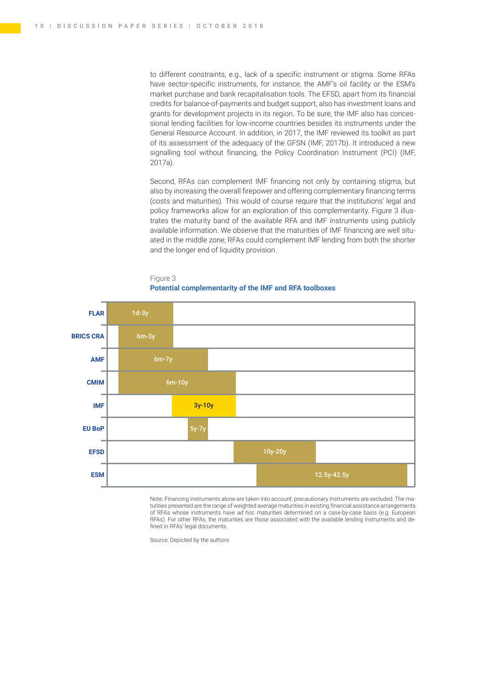to different constraints, e.g., lack of a specific instrument or stigma. Some RFAs have sector-specific instruments, for instance, the AMF's oil facility or the ESM's market purchase and bank recapitalisation tools. The EFSD, apart from its financial credits for balance-of-payments and budget support, also has investment loans and grants for development projects in its region. To be sure, the IMF also has concessional lending facilities for low-income countries besides its instruments under the General Resource Account. In addition, in 2017, the IMF reviewed its toolkit as part of its assessment of the adequacy of the GFSN (IMF, 2017b). It introduced a new signalling tool without financing, the Policy Coordination Instrument (PCI) (IMF, 2017a).

Second, RFAs can complement IMF financing not only by containing stigma, but also by increasing the overall firepower and offering complementary financing terms (costs and maturities). This would of course require that the institutions' legal and policy frameworks allow for an exploration of this complementarity. Figure 3 illustrates the maturity band of the available RFA and IMF instruments using publicly available information. We observe that the maturities of IMF financing are well situated in the middle zone; RFAs could complement IMF lending from both the shorter and the longer end of liquidity provision.





Note: Financing instruments alone are taken into account; precautionary instruments are excluded. The maturities presented are the range of weighted average maturities in existing financial assistance arrangements of RFAs whose instruments have *ad hoc* maturities determined on a case-by-case basis (e.g. European RFAs). For other RFAs, the maturities are those associated with the available lending instruments and defined in RFAs' legal documents.

Source: Depicted by the authors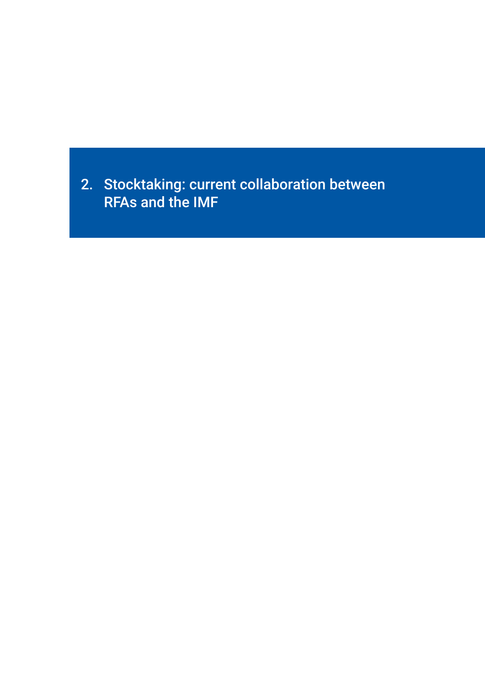<span id="page-12-0"></span>2. Stocktaking: current collaboration between RFAs and the IMF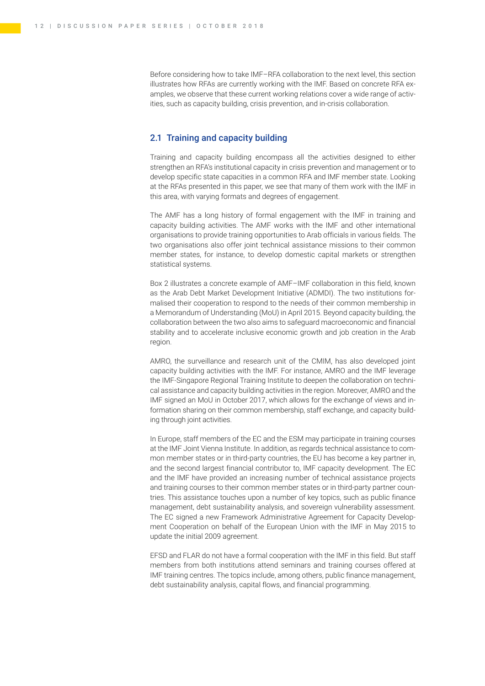<span id="page-13-0"></span>Before considering how to take IMF–RFA collaboration to the next level, this section illustrates how RFAs are currently working with the IMF. Based on concrete RFA examples, we observe that these current working relations cover a wide range of activities, such as capacity building, crisis prevention, and in-crisis collaboration.

### 2.1 Training and capacity building

Training and capacity building encompass all the activities designed to either strengthen an RFA's institutional capacity in crisis prevention and management or to develop specific state capacities in a common RFA and IMF member state. Looking at the RFAs presented in this paper, we see that many of them work with the IMF in this area, with varying formats and degrees of engagement.

The AMF has a long history of formal engagement with the IMF in training and capacity building activities. The AMF works with the IMF and other international organisations to provide training opportunities to Arab officials in various fields. The two organisations also offer joint technical assistance missions to their common member states, for instance, to develop domestic capital markets or strengthen statistical systems.

Box 2 illustrates a concrete example of AMF–IMF collaboration in this field, known as the Arab Debt Market Development Initiative (ADMDI). The two institutions formalised their cooperation to respond to the needs of their common membership in a Memorandum of Understanding (MoU) in April 2015. Beyond capacity building, the collaboration between the two also aims to safeguard macroeconomic and financial stability and to accelerate inclusive economic growth and job creation in the Arab region.

AMRO, the surveillance and research unit of the CMIM, has also developed joint capacity building activities with the IMF. For instance, AMRO and the IMF leverage the IMF-Singapore Regional Training Institute to deepen the collaboration on technical assistance and capacity building activities in the region. Moreover, AMRO and the IMF signed an MoU in October 2017, which allows for the exchange of views and information sharing on their common membership, staff exchange, and capacity building through joint activities.

In Europe, staff members of the EC and the ESM may participate in training courses at the IMF Joint Vienna Institute. In addition, as regards technical assistance to common member states or in third-party countries, the EU has become a key partner in, and the second largest financial contributor to, IMF capacity development. The EC and the IMF have provided an increasing number of technical assistance projects and training courses to their common member states or in third-party partner countries. This assistance touches upon a number of key topics, such as public finance management, debt sustainability analysis, and sovereign vulnerability assessment. The EC signed a new Framework Administrative Agreement for Capacity Development Cooperation on behalf of the European Union with the IMF in May 2015 to update the initial 2009 agreement.

EFSD and FLAR do not have a formal cooperation with the IMF in this field. But staff members from both institutions attend seminars and training courses offered at IMF training centres. The topics include, among others, public finance management, debt sustainability analysis, capital flows, and financial programming.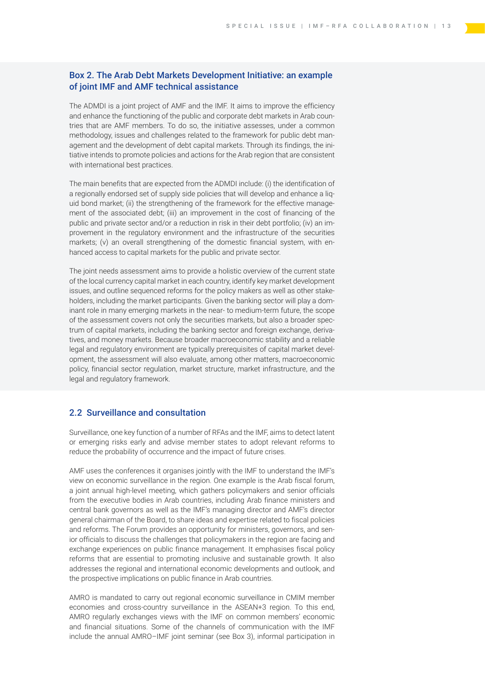## <span id="page-14-0"></span>Box 2. The Arab Debt Markets Development Initiative: an example of joint IMF and AMF technical assistance

The ADMDI is a joint project of AMF and the IMF. It aims to improve the efficiency and enhance the functioning of the public and corporate debt markets in Arab countries that are AMF members. To do so, the initiative assesses, under a common methodology, issues and challenges related to the framework for public debt management and the development of debt capital markets. Through its findings, the initiative intends to promote policies and actions for the Arab region that are consistent with international best practices.

The main benefits that are expected from the ADMDI include: (i) the identification of a regionally endorsed set of supply side policies that will develop and enhance a liquid bond market; (ii) the strengthening of the framework for the effective management of the associated debt; (iii) an improvement in the cost of financing of the public and private sector and/or a reduction in risk in their debt portfolio; (iv) an improvement in the regulatory environment and the infrastructure of the securities markets; (v) an overall strengthening of the domestic financial system, with enhanced access to capital markets for the public and private sector.

The joint needs assessment aims to provide a holistic overview of the current state of the local currency capital market in each country, identify key market development issues, and outline sequenced reforms for the policy makers as well as other stakeholders, including the market participants. Given the banking sector will play a dominant role in many emerging markets in the near- to medium-term future, the scope of the assessment covers not only the securities markets, but also a broader spectrum of capital markets, including the banking sector and foreign exchange, derivatives, and money markets. Because broader macroeconomic stability and a reliable legal and regulatory environment are typically prerequisites of capital market development, the assessment will also evaluate, among other matters, macroeconomic policy, financial sector regulation, market structure, market infrastructure, and the legal and regulatory framework.

### 2.2 Surveillance and consultation

Surveillance, one key function of a number of RFAs and the IMF, aims to detect latent or emerging risks early and advise member states to adopt relevant reforms to reduce the probability of occurrence and the impact of future crises.

AMF uses the conferences it organises jointly with the IMF to understand the IMF's view on economic surveillance in the region. One example is the Arab fiscal forum, a joint annual high-level meeting, which gathers policymakers and senior officials from the executive bodies in Arab countries, including Arab finance ministers and central bank governors as well as the IMF's managing director and AMF's director general chairman of the Board, to share ideas and expertise related to fiscal policies and reforms. The Forum provides an opportunity for ministers, governors, and senior officials to discuss the challenges that policymakers in the region are facing and exchange experiences on public finance management. It emphasises fiscal policy reforms that are essential to promoting inclusive and sustainable growth. It also addresses the regional and international economic developments and outlook, and the prospective implications on public finance in Arab countries.

AMRO is mandated to carry out regional economic surveillance in CMIM member economies and cross-country surveillance in the ASEAN+3 region. To this end, AMRO regularly exchanges views with the IMF on common members' economic and financial situations. Some of the channels of communication with the IMF include the annual AMRO–IMF joint seminar (see Box 3), informal participation in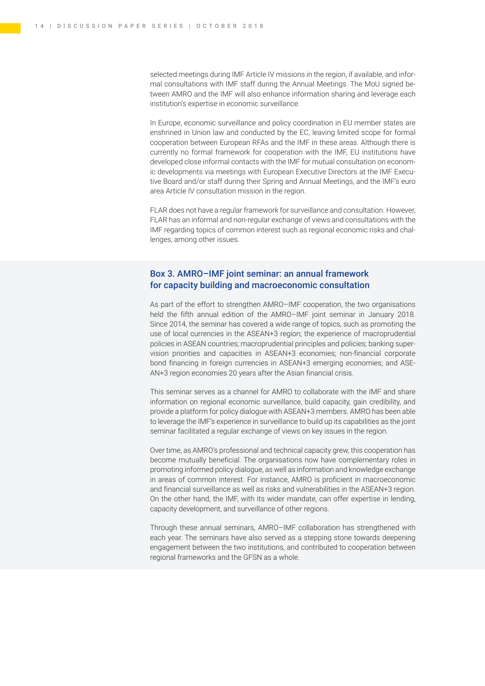selected meetings during IMF Article IV missions in the region, if available, and informal consultations with IMF staff during the Annual Meetings. The MoU signed between AMRO and the IMF will also enhance information sharing and leverage each institution's expertise in economic surveillance.

In Europe, economic surveillance and policy coordination in EU member states are enshrined in Union law and conducted by the EC, leaving limited scope for formal cooperation between European RFAs and the IMF in these areas. Although there is currently no formal framework for cooperation with the IMF, EU institutions have developed close informal contacts with the IMF for mutual consultation on economic developments via meetings with European Executive Directors at the IMF Executive Board and/or staff during their Spring and Annual Meetings, and the IMF's euro area Article IV consultation mission in the region.

FLAR does not have a regular framework for surveillance and consultation. However, FLAR has an informal and non-regular exchange of views and consultations with the IMF regarding topics of common interest such as regional economic risks and challenges, among other issues.

## Box 3. AMRO–IMF joint seminar: an annual framework for capacity building and macroeconomic consultation

As part of the effort to strengthen AMRO–IMF cooperation, the two organisations held the fifth annual edition of the AMRO-IMF joint seminar in January 2018. Since 2014, the seminar has covered a wide range of topics, such as promoting the use of local currencies in the ASEAN+3 region; the experience of macroprudential policies in ASEAN countries; macroprudential principles and policies; banking supervision priorities and capacities in ASEAN+3 economies; non-financial corporate bond financing in foreign currencies in ASEAN+3 emerging economies; and ASE-AN+3 region economies 20 years after the Asian financial crisis.

This seminar serves as a channel for AMRO to collaborate with the IMF and share information on regional economic surveillance, build capacity, gain credibility, and provide a platform for policy dialogue with ASEAN+3 members. AMRO has been able to leverage the IMF's experience in surveillance to build up its capabilities as the joint seminar facilitated a regular exchange of views on key issues in the region.

Over time, as AMRO's professional and technical capacity grew, this cooperation has become mutually beneficial. The organisations now have complementary roles in promoting informed policy dialogue, as well as information and knowledge exchange in areas of common interest. For instance, AMRO is proficient in macroeconomic and financial surveillance as well as risks and vulnerabilities in the ASEAN+3 region. On the other hand, the IMF, with its wider mandate, can offer expertise in lending, capacity development, and surveillance of other regions.

Through these annual seminars, AMRO–IMF collaboration has strengthened with each year. The seminars have also served as a stepping stone towards deepening engagement between the two institutions, and contributed to cooperation between regional frameworks and the GFSN as a whole.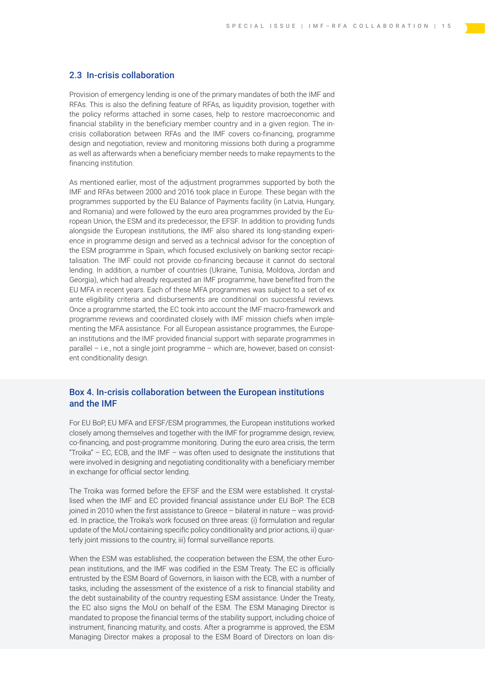#### <span id="page-16-0"></span>2.3 In-crisis collaboration

Provision of emergency lending is one of the primary mandates of both the IMF and RFAs. This is also the defining feature of RFAs, as liquidity provision, together with the policy reforms attached in some cases, help to restore macroeconomic and financial stability in the beneficiary member country and in a given region. The incrisis collaboration between RFAs and the IMF covers co-financing, programme design and negotiation, review and monitoring missions both during a programme as well as afterwards when a beneficiary member needs to make repayments to the financing institution.

As mentioned earlier, most of the adjustment programmes supported by both the IMF and RFAs between 2000 and 2016 took place in Europe. These began with the programmes supported by the EU Balance of Payments facility (in Latvia, Hungary, and Romania) and were followed by the euro area programmes provided by the European Union, the ESM and its predecessor, the EFSF. In addition to providing funds alongside the European institutions, the IMF also shared its long-standing experience in programme design and served as a technical advisor for the conception of the ESM programme in Spain, which focused exclusively on banking sector recapitalisation. The IMF could not provide co-financing because it cannot do sectoral lending. In addition, a number of countries (Ukraine, Tunisia, Moldova, Jordan and Georgia), which had already requested an IMF programme, have benefited from the EU MFA in recent years. Each of these MFA programmes was subject to a set of ex ante eligibility criteria and disbursements are conditional on successful reviews. Once a programme started, the EC took into account the IMF macro-framework and programme reviews and coordinated closely with IMF mission chiefs when implementing the MFA assistance. For all European assistance programmes, the European institutions and the IMF provided financial support with separate programmes in parallel – i.e., not a single joint programme – which are, however, based on consistent conditionality design.

### Box 4. In-crisis collaboration between the European institutions and the IMF

For EU BoP, EU MFA and EFSF/ESM programmes, the European institutions worked closely among themselves and together with the IMF for programme design, review, co-financing, and post-programme monitoring. During the euro area crisis, the term "Troika" – EC, ECB, and the IMF – was often used to designate the institutions that were involved in designing and negotiating conditionality with a beneficiary member in exchange for official sector lending.

The Troika was formed before the EFSF and the ESM were established. It crystallised when the IMF and EC provided financial assistance under EU BoP. The ECB joined in 2010 when the first assistance to Greece – bilateral in nature – was provided. In practice, the Troika's work focused on three areas: (i) formulation and regular update of the MoU containing specific policy conditionality and prior actions, ii) quarterly joint missions to the country, iii) formal surveillance reports.

When the ESM was established, the cooperation between the ESM, the other European institutions, and the IMF was codified in the ESM Treaty. The EC is officially entrusted by the ESM Board of Governors, in liaison with the ECB, with a number of tasks, including the assessment of the existence of a risk to financial stability and the debt sustainability of the country requesting ESM assistance. Under the Treaty, the EC also signs the MoU on behalf of the ESM. The ESM Managing Director is mandated to propose the financial terms of the stability support, including choice of instrument, financing maturity, and costs. After a programme is approved, the ESM Managing Director makes a proposal to the ESM Board of Directors on loan dis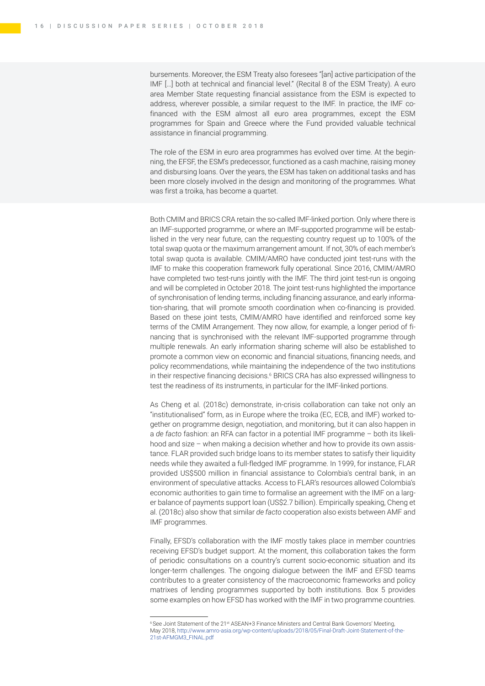bursements. Moreover, the ESM Treaty also foresees "[an] active participation of the IMF […] both at technical and financial level." (Recital 8 of the ESM Treaty). A euro area Member State requesting financial assistance from the ESM is expected to address, wherever possible, a similar request to the IMF. In practice, the IMF cofinanced with the ESM almost all euro area programmes, except the ESM programmes for Spain and Greece where the Fund provided valuable technical assistance in financial programming.

The role of the ESM in euro area programmes has evolved over time. At the beginning, the EFSF, the ESM's predecessor, functioned as a cash machine, raising money and disbursing loans. Over the years, the ESM has taken on additional tasks and has been more closely involved in the design and monitoring of the programmes. What was first a troika, has become a quartet.

Both CMIM and BRICS CRA retain the so-called IMF-linked portion. Only where there is an IMF-supported programme, or where an IMF-supported programme will be established in the very near future, can the requesting country request up to 100% of the total swap quota or the maximum arrangement amount. If not, 30% of each member's total swap quota is available. CMIM/AMRO have conducted joint test-runs with the IMF to make this cooperation framework fully operational. Since 2016, CMIM/AMRO have completed two test-runs jointly with the IMF. The third joint test-run is ongoing and will be completed in October 2018. The joint test-runs highlighted the importance of synchronisation of lending terms, including financing assurance, and early information-sharing, that will promote smooth coordination when co-financing is provided. Based on these joint tests, CMIM/AMRO have identified and reinforced some key terms of the CMIM Arrangement. They now allow, for example, a longer period of financing that is synchronised with the relevant IMF-supported programme through multiple renewals. An early information sharing scheme will also be established to promote a common view on economic and financial situations, financing needs, and policy recommendations, while maintaining the independence of the two institutions in their respective financing decisions.<sup>6</sup> BRICS CRA has also expressed willingness to test the readiness of its instruments, in particular for the IMF-linked portions.

As Cheng et al. (2018c) demonstrate, in-crisis collaboration can take not only an "institutionalised" form, as in Europe where the troika (EC, ECB, and IMF) worked together on programme design, negotiation, and monitoring, but it can also happen in a *de facto* fashion: an RFA can factor in a potential IMF programme – both its likelihood and size – when making a decision whether and how to provide its own assistance. FLAR provided such bridge loans to its member states to satisfy their liquidity needs while they awaited a full-fledged IMF programme. In 1999, for instance, FLAR provided US\$500 million in financial assistance to Colombia's central bank, in an environment of speculative attacks. Access to FLAR's resources allowed Colombia's economic authorities to gain time to formalise an agreement with the IMF on a larger balance of payments support loan (US\$2.7 billion). Empirically speaking, Cheng et al. (2018c) also show that similar *de facto* cooperation also exists between AMF and IMF programmes.

Finally, EFSD's collaboration with the IMF mostly takes place in member countries receiving EFSD's budget support. At the moment, this collaboration takes the form of periodic consultations on a country's current socio-economic situation and its longer-term challenges. The ongoing dialogue between the IMF and EFSD teams contributes to a greater consistency of the macroeconomic frameworks and policy matrixes of lending programmes supported by both institutions. Box 5 provides some examples on how EFSD has worked with the IMF in two programme countries.

<sup>&</sup>lt;sup>6</sup> See Joint Statement of the 21<sup>st</sup> ASEAN+3 Finance Ministers and Central Bank Governors' Meeting, May 2018, [http://www.amro-asia.org/wp-content/uploads/2018/05/Final-Draft-Joint-Statement-of-the-](http://www.amro-asia.org/wp-content/uploads/2018/05/Final-Draft-Joint-Statement-of-the-21st-AFMGM3_FINAL.pdf)[21st-AFMGM3\\_FINAL.pdf](http://www.amro-asia.org/wp-content/uploads/2018/05/Final-Draft-Joint-Statement-of-the-21st-AFMGM3_FINAL.pdf)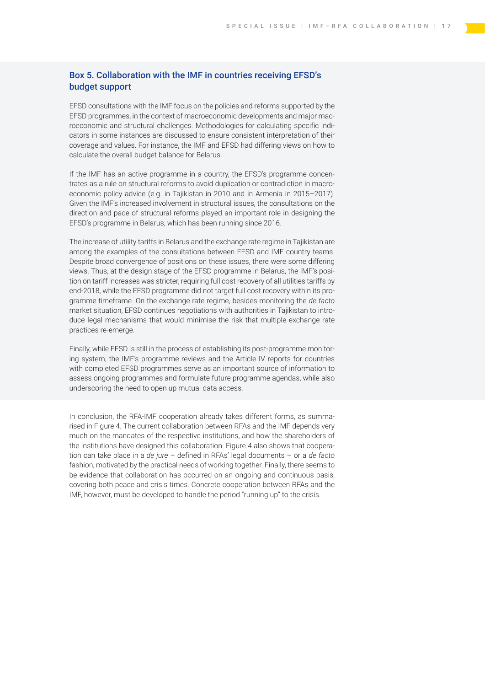## Box 5. Collaboration with the IMF in countries receiving EFSD's budget support

EFSD consultations with the IMF focus on the policies and reforms supported by the EFSD programmes, in the context of macroeconomic developments and major macroeconomic and structural challenges. Methodologies for calculating specific indicators in some instances are discussed to ensure consistent interpretation of their coverage and values. For instance, the IMF and EFSD had differing views on how to calculate the overall budget balance for Belarus.

If the IMF has an active programme in a country, the EFSD's programme concentrates as a rule on structural reforms to avoid duplication or contradiction in macroeconomic policy advice (e.g. in Tajikistan in 2010 and in Armenia in 2015–2017). Given the IMF's increased involvement in structural issues, the consultations on the direction and pace of structural reforms played an important role in designing the EFSD's programme in Belarus, which has been running since 2016.

The increase of utility tariffs in Belarus and the exchange rate regime in Tajikistan are among the examples of the consultations between EFSD and IMF country teams. Despite broad convergence of positions on these issues, there were some differing views. Thus, at the design stage of the EFSD programme in Belarus, the IMF's position on tariff increases was stricter, requiring full cost recovery of all utilities tariffs by end-2018, while the EFSD programme did not target full cost recovery within its programme timeframe. On the exchange rate regime, besides monitoring the *de facto* market situation, EFSD continues negotiations with authorities in Tajikistan to introduce legal mechanisms that would minimise the risk that multiple exchange rate practices re-emerge.

Finally, while EFSD is still in the process of establishing its post-programme monitoring system, the IMF's programme reviews and the Article IV reports for countries with completed EFSD programmes serve as an important source of information to assess ongoing programmes and formulate future programme agendas, while also underscoring the need to open up mutual data access.

In conclusion, the RFA-IMF cooperation already takes different forms, as summarised in Figure 4. The current collaboration between RFAs and the IMF depends very much on the mandates of the respective institutions, and how the shareholders of the institutions have designed this collaboration. Figure 4 also shows that cooperation can take place in a *de jure* – defined in RFAs' legal documents – or a *de facto* fashion, motivated by the practical needs of working together. Finally, there seems to be evidence that collaboration has occurred on an ongoing and continuous basis, covering both peace and crisis times. Concrete cooperation between RFAs and the IMF, however, must be developed to handle the period "running up" to the crisis.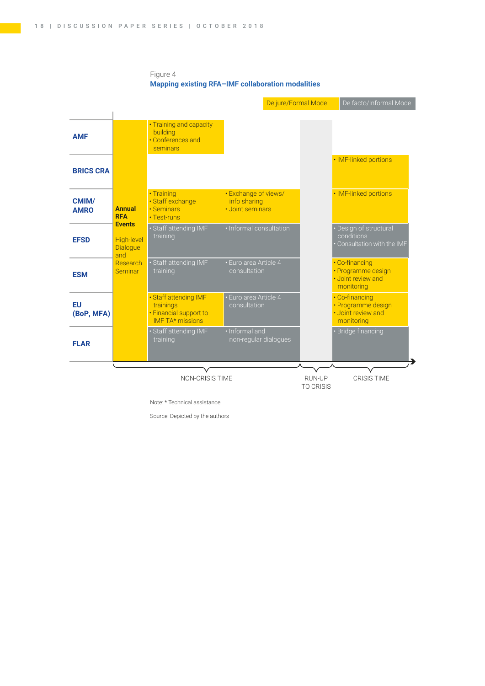#### Figure 4 **Mapping existing RFA–IMF collaboration modalities**



Note: \* Technical assistance

Source: Depicted by the authors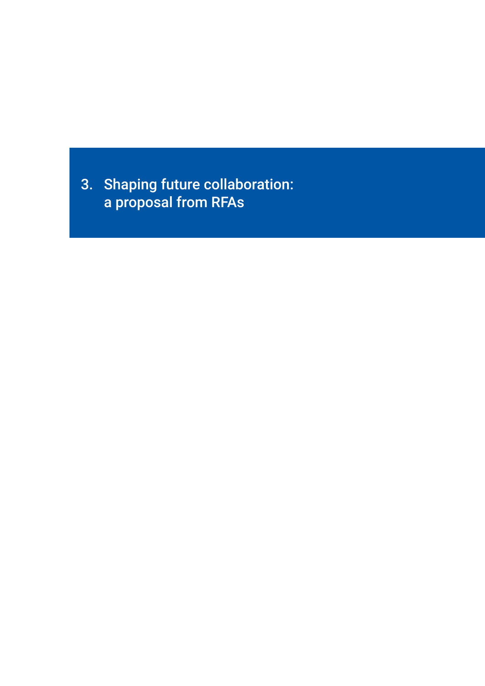<span id="page-20-0"></span>3. Shaping future collaboration: a proposal from RFAs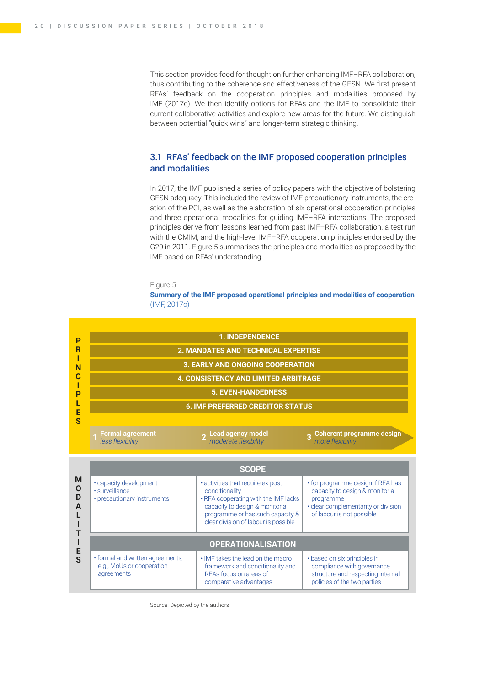<span id="page-21-0"></span>This section provides food for thought on further enhancing IMF–RFA collaboration, thus contributing to the coherence and effectiveness of the GFSN. We first present RFAs' feedback on the cooperation principles and modalities proposed by IMF (2017c). We then identify options for RFAs and the IMF to consolidate their current collaborative activities and explore new areas for the future. We distinguish between potential "quick wins" and longer-term strategic thinking.

### 3.1 RFAs' feedback on the IMF proposed cooperation principles and modalities

In 2017, the IMF published a series of policy papers with the objective of bolstering GFSN adequacy. This included the review of IMF precautionary instruments, the creation of the PCI, as well as the elaboration of six operational cooperation principles and three operational modalities for guiding IMF–RFA interactions. The proposed principles derive from lessons learned from past IMF–RFA collaboration, a test run with the CMIM, and the high-level IMF–RFA cooperation principles endorsed by the G20 in 2011. Figure 5 summarises the principles and modalities as proposed by the IMF based on RFAs' understanding.

#### Figure 5

**Summary of the IMF proposed operational principles and modalities of cooperation**  (IMF, 2017c)



Source: Depicted by the authors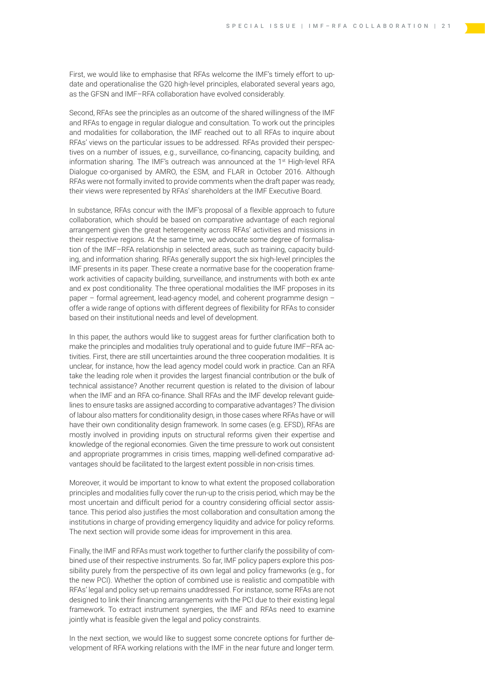First, we would like to emphasise that RFAs welcome the IMF's timely effort to update and operationalise the G20 high-level principles, elaborated several years ago, as the GFSN and IMF–RFA collaboration have evolved considerably.

Second, RFAs see the principles as an outcome of the shared willingness of the IMF and RFAs to engage in regular dialogue and consultation. To work out the principles and modalities for collaboration, the IMF reached out to all RFAs to inquire about RFAs' views on the particular issues to be addressed. RFAs provided their perspectives on a number of issues, e.g., surveillance, co-financing, capacity building, and information sharing. The IMF's outreach was announced at the 1<sup>st</sup> High-level RFA Dialogue co-organised by AMRO, the ESM, and FLAR in October 2016. Although RFAs were not formally invited to provide comments when the draft paper was ready, their views were represented by RFAs' shareholders at the IMF Executive Board.

In substance, RFAs concur with the IMF's proposal of a flexible approach to future collaboration, which should be based on comparative advantage of each regional arrangement given the great heterogeneity across RFAs' activities and missions in their respective regions. At the same time, we advocate some degree of formalisation of the IMF–RFA relationship in selected areas, such as training, capacity building, and information sharing. RFAs generally support the six high-level principles the IMF presents in its paper. These create a normative base for the cooperation framework activities of capacity building, surveillance, and instruments with both ex ante and ex post conditionality*.* The three operational modalities the IMF proposes in its paper – formal agreement, lead-agency model, and coherent programme design – offer a wide range of options with different degrees of flexibility for RFAs to consider based on their institutional needs and level of development.

In this paper, the authors would like to suggest areas for further clarification both to make the principles and modalities truly operational and to guide future IMF–RFA activities. First, there are still uncertainties around the three cooperation modalities. It is unclear, for instance, how the lead agency model could work in practice. Can an RFA take the leading role when it provides the largest financial contribution or the bulk of technical assistance? Another recurrent question is related to the division of labour when the IMF and an RFA co-finance. Shall RFAs and the IMF develop relevant guidelines to ensure tasks are assigned according to comparative advantages? The division of labour also matters for conditionality design, in those cases where RFAs have or will have their own conditionality design framework. In some cases (e.g. EFSD), RFAs are mostly involved in providing inputs on structural reforms given their expertise and knowledge of the regional economies. Given the time pressure to work out consistent and appropriate programmes in crisis times, mapping well-defined comparative advantages should be facilitated to the largest extent possible in non-crisis times.

Moreover, it would be important to know to what extent the proposed collaboration principles and modalities fully cover the run-up to the crisis period, which may be the most uncertain and difficult period for a country considering official sector assistance. This period also justifies the most collaboration and consultation among the institutions in charge of providing emergency liquidity and advice for policy reforms. The next section will provide some ideas for improvement in this area.

Finally, the IMF and RFAs must work together to further clarify the possibility of combined use of their respective instruments. So far, IMF policy papers explore this possibility purely from the perspective of its own legal and policy frameworks (e.g., for the new PCI). Whether the option of combined use is realistic and compatible with RFAs' legal and policy set-up remains unaddressed. For instance, some RFAs are not designed to link their financing arrangements with the PCI due to their existing legal framework. To extract instrument synergies, the IMF and RFAs need to examine jointly what is feasible given the legal and policy constraints.

In the next section, we would like to suggest some concrete options for further development of RFA working relations with the IMF in the near future and longer term.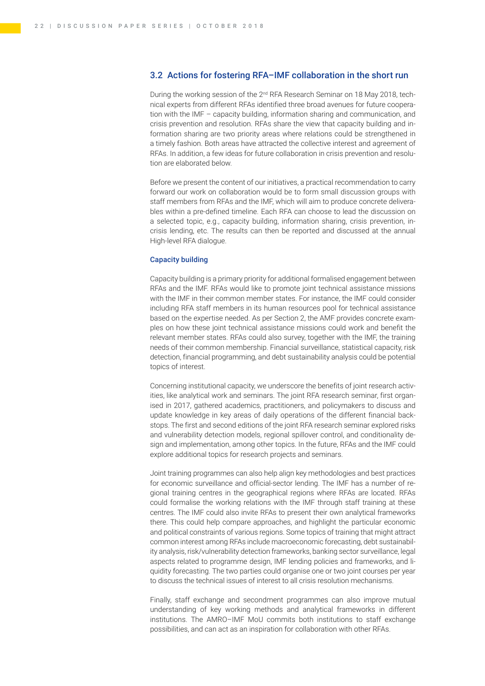## <span id="page-23-0"></span>3.2 Actions for fostering RFA–IMF collaboration in the short run

During the working session of the 2nd RFA Research Seminar on 18 May 2018, technical experts from different RFAs identified three broad avenues for future cooperation with the IMF – capacity building, information sharing and communication, and crisis prevention and resolution. RFAs share the view that capacity building and information sharing are two priority areas where relations could be strengthened in a timely fashion. Both areas have attracted the collective interest and agreement of RFAs. In addition, a few ideas for future collaboration in crisis prevention and resolution are elaborated below.

Before we present the content of our initiatives, a practical recommendation to carry forward our work on collaboration would be to form small discussion groups with staff members from RFAs and the IMF, which will aim to produce concrete deliverables within a pre-defined timeline. Each RFA can choose to lead the discussion on a selected topic, e.g., capacity building, information sharing, crisis prevention, incrisis lending, etc. The results can then be reported and discussed at the annual High-level RFA dialogue.

#### Capacity building

Capacity building is a primary priority for additional formalised engagement between RFAs and the IMF. RFAs would like to promote joint technical assistance missions with the IMF in their common member states. For instance, the IMF could consider including RFA staff members in its human resources pool for technical assistance based on the expertise needed. As per Section 2, the AMF provides concrete examples on how these joint technical assistance missions could work and benefit the relevant member states. RFAs could also survey, together with the IMF, the training needs of their common membership. Financial surveillance, statistical capacity, risk detection, financial programming, and debt sustainability analysis could be potential topics of interest.

Concerning institutional capacity, we underscore the benefits of joint research activities, like analytical work and seminars. The joint RFA research seminar, first organised in 2017, gathered academics, practitioners, and policymakers to discuss and update knowledge in key areas of daily operations of the different financial backstops. The first and second editions of the joint RFA research seminar explored risks and vulnerability detection models, regional spillover control, and conditionality design and implementation, among other topics. In the future, RFAs and the IMF could explore additional topics for research projects and seminars.

Joint training programmes can also help align key methodologies and best practices for economic surveillance and official-sector lending. The IMF has a number of regional training centres in the geographical regions where RFAs are located. RFAs could formalise the working relations with the IMF through staff training at these centres. The IMF could also invite RFAs to present their own analytical frameworks there. This could help compare approaches, and highlight the particular economic and political constraints of various regions. Some topics of training that might attract common interest among RFAs include macroeconomic forecasting, debt sustainability analysis, risk/vulnerability detection frameworks, banking sector surveillance, legal aspects related to programme design, IMF lending policies and frameworks, and liquidity forecasting. The two parties could organise one or two joint courses per year to discuss the technical issues of interest to all crisis resolution mechanisms.

Finally, staff exchange and secondment programmes can also improve mutual understanding of key working methods and analytical frameworks in different institutions. The AMRO–IMF MoU commits both institutions to staff exchange possibilities, and can act as an inspiration for collaboration with other RFAs.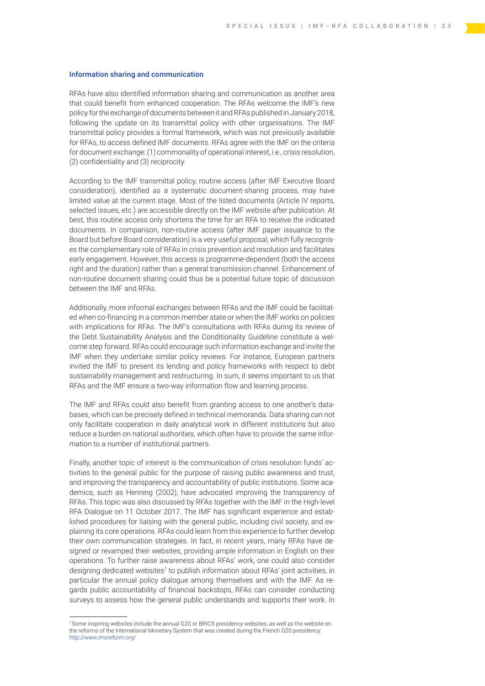#### Information sharing and communication

RFAs have also identified information sharing and communication as another area that could benefit from enhanced cooperation. The RFAs welcome the IMF's new policy for the exchange of documents between it and RFAs published in January 2018, following the update on its transmittal policy with other organisations. The IMF transmittal policy provides a formal framework, which was not previously available for RFAs, to access defined IMF documents. RFAs agree with the IMF on the criteria for document exchange: (1) commonality of operational interest, i.e., crisis resolution, (2) confidentiality and (3) reciprocity.

According to the IMF transmittal policy, routine access (after IMF Executive Board consideration), identified as a systematic document-sharing process, may have limited value at the current stage. Most of the listed documents (Article IV reports, selected issues, etc.) are accessible directly on the IMF website after publication. At best, this routine access only shortens the time for an RFA to receive the indicated documents. In comparison, non-routine access (after IMF paper issuance to the Board but before Board consideration) is a very useful proposal, which fully recognises the complementary role of RFAs in crisis prevention and resolution and facilitates early engagement. However, this access is programme-dependent (both the access right and the duration) rather than a general transmission channel. Enhancement of non-routine document sharing could thus be a potential future topic of discussion between the IMF and RFAs.

Additionally, more informal exchanges between RFAs and the IMF could be facilitated when co-financing in a common member state or when the IMF works on policies with implications for RFAs. The IMF's consultations with RFAs during its review of the Debt Sustainability Analysis and the Conditionality Guideline constitute a welcome step forward. RFAs could encourage such information exchange and invite the IMF when they undertake similar policy reviews. For instance, European partners invited the IMF to present its lending and policy frameworks with respect to debt sustainability management and restructuring. In sum, it seems important to us that RFAs and the IMF ensure a two-way information flow and learning process.

The IMF and RFAs could also benefit from granting access to one another's databases, which can be precisely defined in technical memoranda. Data sharing can not only facilitate cooperation in daily analytical work in different institutions but also reduce a burden on national authorities, which often have to provide the same information to a number of institutional partners.

Finally, another topic of interest is the communication of crisis resolution funds' activities to the general public for the purpose of raising public awareness and trust, and improving the transparency and accountability of public institutions. Some academics, such as Henning (2002), have advocated improving the transparency of RFAs. This topic was also discussed by RFAs together with the IMF in the High-level RFA Dialogue on 11 October 2017. The IMF has significant experience and established procedures for liaising with the general public, including civil society, and explaining its core operations. RFAs could learn from this experience to further develop their own communication strategies. In fact, in recent years, many RFAs have designed or revamped their websites, providing ample information in English on their operations. To further raise awareness about RFAs' work, one could also consider designing dedicated websites<sup>7</sup> to publish information about RFAs' joint activities, in particular the annual policy dialogue among themselves and with the IMF. As regards public accountability of financial backstops, RFAs can consider conducting surveys to assess how the general public understands and supports their work. In

<sup>7</sup> Some inspiring websites include the annual G20 or BRICS presidency websites, as well as the website on the reforms of the International Monetary System that was created during the French G20 presidency: <http://www.imsreform.org/>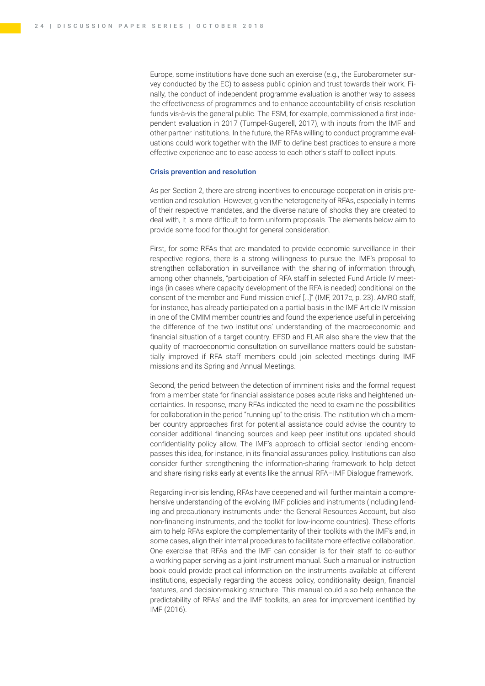Europe, some institutions have done such an exercise (e.g., the Eurobarometer survey conducted by the EC) to assess public opinion and trust towards their work. Finally, the conduct of independent programme evaluation is another way to assess the effectiveness of programmes and to enhance accountability of crisis resolution funds vis-à-vis the general public. The ESM, for example, commissioned a first independent evaluation in 2017 (Tumpel-Gugerell, 2017), with inputs from the IMF and other partner institutions. In the future, the RFAs willing to conduct programme evaluations could work together with the IMF to define best practices to ensure a more effective experience and to ease access to each other's staff to collect inputs.

#### Crisis prevention and resolution

As per Section 2, there are strong incentives to encourage cooperation in crisis prevention and resolution. However, given the heterogeneity of RFAs, especially in terms of their respective mandates, and the diverse nature of shocks they are created to deal with, it is more difficult to form uniform proposals. The elements below aim to provide some food for thought for general consideration.

First, for some RFAs that are mandated to provide economic surveillance in their respective regions, there is a strong willingness to pursue the IMF's proposal to strengthen collaboration in surveillance with the sharing of information through, among other channels, "participation of RFA staff in selected Fund Article IV meetings (in cases where capacity development of the RFA is needed) conditional on the consent of the member and Fund mission chief […]" (IMF, 2017c, p. 23). AMRO staff, for instance, has already participated on a partial basis in the IMF Article IV mission in one of the CMIM member countries and found the experience useful in perceiving the difference of the two institutions' understanding of the macroeconomic and financial situation of a target country. EFSD and FLAR also share the view that the quality of macroeconomic consultation on surveillance matters could be substantially improved if RFA staff members could join selected meetings during IMF missions and its Spring and Annual Meetings.

Second, the period between the detection of imminent risks and the formal request from a member state for financial assistance poses acute risks and heightened uncertainties. In response, many RFAs indicated the need to examine the possibilities for collaboration in the period "running up" to the crisis. The institution which a member country approaches first for potential assistance could advise the country to consider additional financing sources and keep peer institutions updated should confidentiality policy allow. The IMF's approach to official sector lending encompasses this idea, for instance, in its financial assurances policy. Institutions can also consider further strengthening the information-sharing framework to help detect and share rising risks early at events like the annual RFA–IMF Dialogue framework.

Regarding in-crisis lending, RFAs have deepened and will further maintain a comprehensive understanding of the evolving IMF policies and instruments (including lending and precautionary instruments under the General Resources Account, but also non-financing instruments, and the toolkit for low-income countries). These efforts aim to help RFAs explore the complementarity of their toolkits with the IMF's and, in some cases, align their internal procedures to facilitate more effective collaboration. One exercise that RFAs and the IMF can consider is for their staff to co-author a working paper serving as a joint instrument manual. Such a manual or instruction book could provide practical information on the instruments available at different institutions, especially regarding the access policy, conditionality design, financial features, and decision-making structure. This manual could also help enhance the predictability of RFAs' and the IMF toolkits, an area for improvement identified by IMF (2016).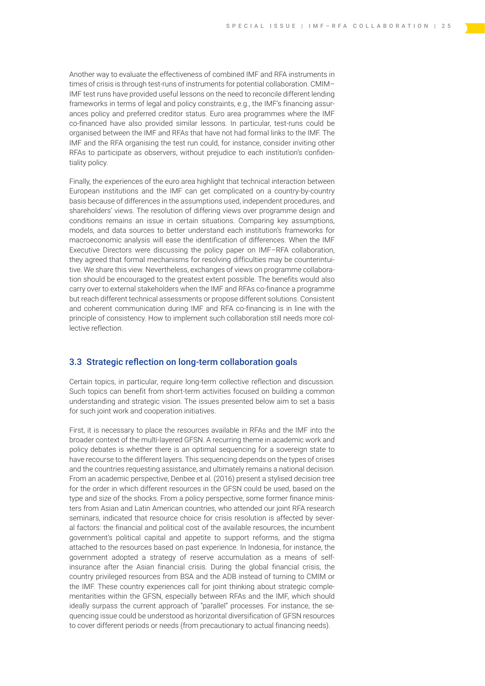<span id="page-26-0"></span>Another way to evaluate the effectiveness of combined IMF and RFA instruments in times of crisis is through test-runs of instruments for potential collaboration. CMIM– IMF test runs have provided useful lessons on the need to reconcile different lending frameworks in terms of legal and policy constraints, e.g., the IMF's financing assurances policy and preferred creditor status. Euro area programmes where the IMF co-financed have also provided similar lessons. In particular, test-runs could be organised between the IMF and RFAs that have not had formal links to the IMF. The IMF and the RFA organising the test run could, for instance, consider inviting other RFAs to participate as observers, without prejudice to each institution's confidentiality policy.

Finally, the experiences of the euro area highlight that technical interaction between European institutions and the IMF can get complicated on a country-by-country basis because of differences in the assumptions used, independent procedures, and shareholders' views. The resolution of differing views over programme design and conditions remains an issue in certain situations. Comparing key assumptions, models, and data sources to better understand each institution's frameworks for macroeconomic analysis will ease the identification of differences. When the IMF Executive Directors were discussing the policy paper on IMF–RFA collaboration, they agreed that formal mechanisms for resolving difficulties may be counterintuitive. We share this view. Nevertheless, exchanges of views on programme collaboration should be encouraged to the greatest extent possible. The benefits would also carry over to external stakeholders when the IMF and RFAs co-finance a programme but reach different technical assessments or propose different solutions. Consistent and coherent communication during IMF and RFA co-financing is in line with the principle of consistency. How to implement such collaboration still needs more collective reflection.

#### 3.3 Strategic reflection on long-term collaboration goals

Certain topics, in particular, require long-term collective reflection and discussion. Such topics can benefit from short-term activities focused on building a common understanding and strategic vision. The issues presented below aim to set a basis for such joint work and cooperation initiatives.

First, it is necessary to place the resources available in RFAs and the IMF into the broader context of the multi-layered GFSN. A recurring theme in academic work and policy debates is whether there is an optimal sequencing for a sovereign state to have recourse to the different layers. This sequencing depends on the types of crises and the countries requesting assistance, and ultimately remains a national decision. From an academic perspective, Denbee et al. (2016) present a stylised decision tree for the order in which different resources in the GFSN could be used, based on the type and size of the shocks. From a policy perspective, some former finance ministers from Asian and Latin American countries, who attended our joint RFA research seminars, indicated that resource choice for crisis resolution is affected by several factors: the financial and political cost of the available resources, the incumbent government's political capital and appetite to support reforms, and the stigma attached to the resources based on past experience. In Indonesia, for instance, the government adopted a strategy of reserve accumulation as a means of selfinsurance after the Asian financial crisis. During the global financial crisis, the country privileged resources from BSA and the ADB instead of turning to CMIM or the IMF. These country experiences call for joint thinking about strategic complementarities within the GFSN, especially between RFAs and the IMF, which should ideally surpass the current approach of "parallel" processes. For instance, the sequencing issue could be understood as horizontal diversification of GFSN resources to cover different periods or needs (from precautionary to actual financing needs).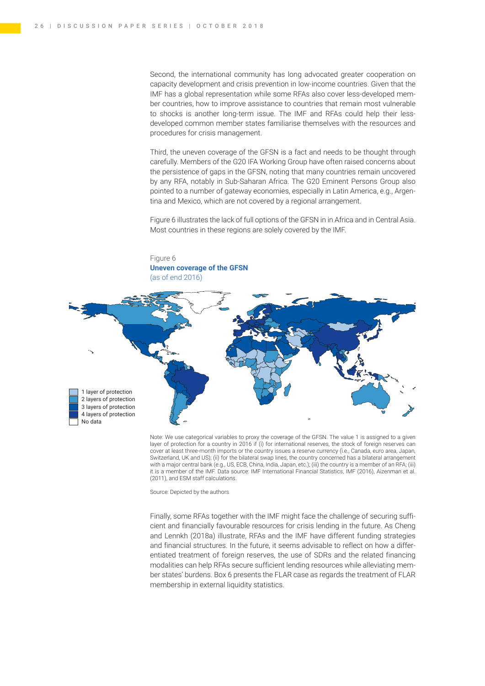Figure 6

Second, the international community has long advocated greater cooperation on capacity development and crisis prevention in low-income countries. Given that the IMF has a global representation while some RFAs also cover less-developed member countries, how to improve assistance to countries that remain most vulnerable to shocks is another long-term issue. The IMF and RFAs could help their lessdeveloped common member states familiarise themselves with the resources and procedures for crisis management.

Third, the uneven coverage of the GFSN is a fact and needs to be thought through carefully. Members of the G20 IFA Working Group have often raised concerns about the persistence of gaps in the GFSN, noting that many countries remain uncovered by any RFA, notably in Sub-Saharan Africa. The G20 Eminent Persons Group also pointed to a number of gateway economies, especially in Latin America, e.g., Argentina and Mexico, which are not covered by a regional arrangement.

Figure 6 illustrates the lack of full options of the GFSN in in Africa and in Central Asia. Most countries in these regions are solely covered by the IMF.



Note: We use categorical variables to proxy the coverage of the GFSN. The value 1 is assigned to a given layer of protection for a country in 2016 if (i) for international reserves, the stock of foreign reserves can cover at least three-month imports or the country issues a reserve currency (i.e., Canada, euro area, Japan, Switzerland, UK and US); (ii) for the bilateral swap lines, the country concerned has a bilateral arrangement with a major central bank (e.g., US, ECB, China, India, Japan, etc.); (iii) the country is a member of an RFA; (iii) it is a member of the IMF. Data source: IMF International Financial Statistics, IMF (2016), Aizenman et al. (2011), and ESM staff calculations.

Source: Depicted by the authors

Finally, some RFAs together with the IMF might face the challenge of securing sufficient and financially favourable resources for crisis lending in the future. As Cheng and Lennkh (2018a) illustrate, RFAs and the IMF have different funding strategies and financial structures. In the future, it seems advisable to reflect on how a differentiated treatment of foreign reserves, the use of SDRs and the related financing modalities can help RFAs secure sufficient lending resources while alleviating member states' burdens. Box 6 presents the FLAR case as regards the treatment of FLAR membership in external liquidity statistics.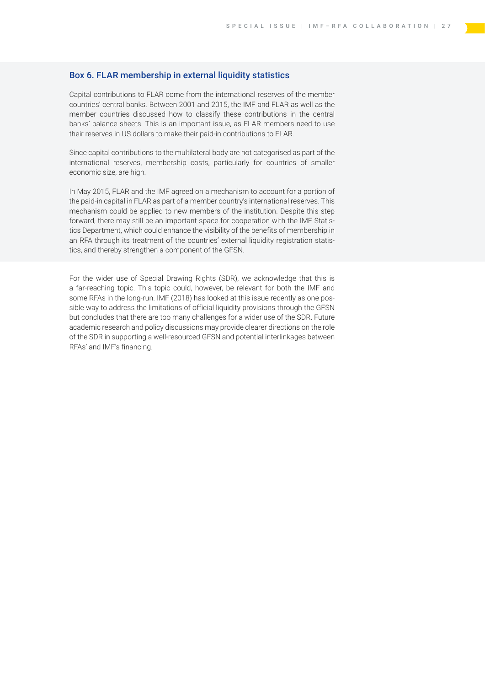### Box 6. FLAR membership in external liquidity statistics

Capital contributions to FLAR come from the international reserves of the member countries' central banks. Between 2001 and 2015, the IMF and FLAR as well as the member countries discussed how to classify these contributions in the central banks' balance sheets. This is an important issue, as FLAR members need to use their reserves in US dollars to make their paid-in contributions to FLAR.

Since capital contributions to the multilateral body are not categorised as part of the international reserves, membership costs, particularly for countries of smaller economic size, are high.

In May 2015, FLAR and the IMF agreed on a mechanism to account for a portion of the paid-in capital in FLAR as part of a member country's international reserves. This mechanism could be applied to new members of the institution. Despite this step forward, there may still be an important space for cooperation with the IMF Statistics Department, which could enhance the visibility of the benefits of membership in an RFA through its treatment of the countries' external liquidity registration statistics, and thereby strengthen a component of the GFSN.

For the wider use of Special Drawing Rights (SDR), we acknowledge that this is a far-reaching topic. This topic could, however, be relevant for both the IMF and some RFAs in the long-run. IMF (2018) has looked at this issue recently as one possible way to address the limitations of official liquidity provisions through the GFSN but concludes that there are too many challenges for a wider use of the SDR. Future academic research and policy discussions may provide clearer directions on the role of the SDR in supporting a well-resourced GFSN and potential interlinkages between RFAs' and IMF's financing.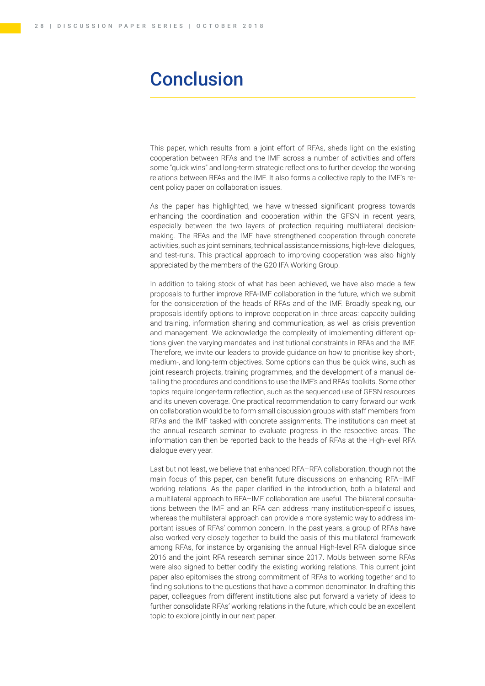## <span id="page-29-0"></span>**Conclusion**

This paper, which results from a joint effort of RFAs, sheds light on the existing cooperation between RFAs and the IMF across a number of activities and offers some "quick wins" and long-term strategic reflections to further develop the working relations between RFAs and the IMF. It also forms a collective reply to the IMF's recent policy paper on collaboration issues.

As the paper has highlighted, we have witnessed significant progress towards enhancing the coordination and cooperation within the GFSN in recent years, especially between the two layers of protection requiring multilateral decisionmaking. The RFAs and the IMF have strengthened cooperation through concrete activities, such as joint seminars, technical assistance missions, high-level dialogues, and test-runs. This practical approach to improving cooperation was also highly appreciated by the members of the G20 IFA Working Group.

In addition to taking stock of what has been achieved, we have also made a few proposals to further improve RFA-IMF collaboration in the future, which we submit for the consideration of the heads of RFAs and of the IMF. Broadly speaking, our proposals identify options to improve cooperation in three areas: capacity building and training, information sharing and communication, as well as crisis prevention and management. We acknowledge the complexity of implementing different options given the varying mandates and institutional constraints in RFAs and the IMF. Therefore, we invite our leaders to provide guidance on how to prioritise key short-, medium-, and long-term objectives. Some options can thus be quick wins, such as joint research projects, training programmes, and the development of a manual detailing the procedures and conditions to use the IMF's and RFAs' toolkits. Some other topics require longer-term reflection, such as the sequenced use of GFSN resources and its uneven coverage. One practical recommendation to carry forward our work on collaboration would be to form small discussion groups with staff members from RFAs and the IMF tasked with concrete assignments. The institutions can meet at the annual research seminar to evaluate progress in the respective areas. The information can then be reported back to the heads of RFAs at the High-level RFA dialogue every year.

Last but not least, we believe that enhanced RFA–RFA collaboration, though not the main focus of this paper, can benefit future discussions on enhancing RFA–IMF working relations. As the paper clarified in the introduction, both a bilateral and a multilateral approach to RFA–IMF collaboration are useful. The bilateral consultations between the IMF and an RFA can address many institution-specific issues, whereas the multilateral approach can provide a more systemic way to address important issues of RFAs' common concern. In the past years, a group of RFAs have also worked very closely together to build the basis of this multilateral framework among RFAs, for instance by organising the annual High-level RFA dialogue since 2016 and the joint RFA research seminar since 2017. MoUs between some RFAs were also signed to better codify the existing working relations. This current joint paper also epitomises the strong commitment of RFAs to working together and to finding solutions to the questions that have a common denominator. In drafting this paper, colleagues from different institutions also put forward a variety of ideas to further consolidate RFAs' working relations in the future, which could be an excellent topic to explore jointly in our next paper.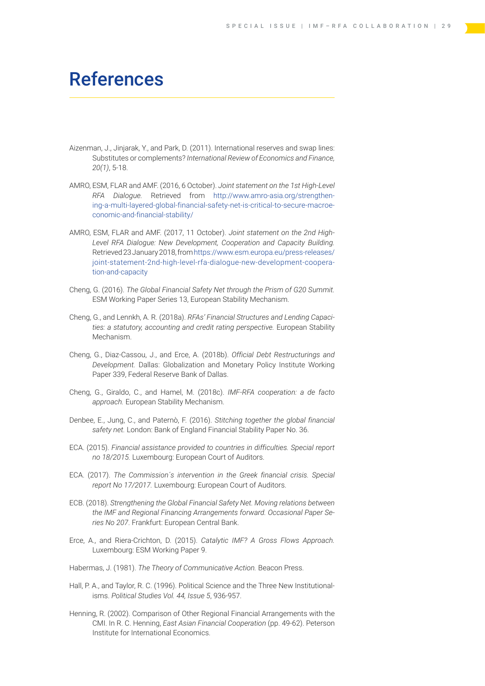## <span id="page-30-0"></span>References

- Aizenman, J., Jinjarak, Y., and Park, D. (2011). International reserves and swap lines: Substitutes or complements? *International Review of Economics and Finance, 20(1)*, 5-18.
- AMRO, ESM, FLAR and AMF. (2016, 6 October). *Joint statement on the 1st High-Level RFA Dialogue.* Retrieved from [http://www.amro-asia.org/strengthen](http://www.amro-asia.org/strengthening-a-multi-layered-global-financial-safety-net-is-critical-to-secure-macroeconomic-and-financial-stability/)[ing-a-multi-layered-global-financial-safety-net-is-critical-to-secure-macroe](http://www.amro-asia.org/strengthening-a-multi-layered-global-financial-safety-net-is-critical-to-secure-macroeconomic-and-financial-stability/)[conomic-and-financial-stability/](http://www.amro-asia.org/strengthening-a-multi-layered-global-financial-safety-net-is-critical-to-secure-macroeconomic-and-financial-stability/)
- AMRO, ESM, FLAR and AMF. (2017, 11 October). *Joint statement on the 2nd High-Level RFA Dialogue: New Development, Cooperation and Capacity Building.* Retrieved 23 January 2018, from [https://www.esm.europa.eu/press-releases/](https://www.esm.europa.eu/press-releases/joint-statement-2nd-high-level-rfa-dialogue-new-development-cooperation-and-capacity) [joint-statement-2nd-high-level-rfa-dialogue-new-development-coopera](https://www.esm.europa.eu/press-releases/joint-statement-2nd-high-level-rfa-dialogue-new-development-cooperation-and-capacity)[tion-and-capacity](https://www.esm.europa.eu/press-releases/joint-statement-2nd-high-level-rfa-dialogue-new-development-cooperation-and-capacity)
- Cheng, G. (2016). *The Global Financial Safety Net through the Prism of G20 Summit.* ESM Working Paper Series 13, European Stability Mechanism.
- Cheng, G., and Lennkh, A. R. (2018a). *RFAs' Financial Structures and Lending Capacities: a statutory, accounting and credit rating perspective.* European Stability Mechanism.
- Cheng, G., Diaz-Cassou, J., and Erce, A. (2018b). *Official Debt Restructurings and Development.* Dallas: Globalization and Monetary Policy Institute Working Paper 339, Federal Reserve Bank of Dallas.
- Cheng, G., Giraldo, C., and Hamel, M. (2018c). *IMF-RFA cooperation: a de facto approach.* European Stability Mechanism.
- Denbee, E., Jung, C., and Paternò, F. (2016). *Stitching together the global financial safety net.* London: Bank of England Financial Stability Paper No. 36.
- ECA. (2015). *Financial assistance provided to countries in difficulties. Special report no 18/2015.* Luxembourg: European Court of Auditors.
- ECA. (2017). *The Commission´s intervention in the Greek financial crisis. Special report No 17/2017.* Luxembourg: European Court of Auditors.
- ECB. (2018). *Strengthening the Global Financial Safety Net. Moving relations between the IMF and Regional Financing Arrangements forward. Occasional Paper Series No 207*. Frankfurt: European Central Bank.
- Erce, A., and Riera-Crichton, D. (2015). *Catalytic IMF? A Gross Flows Approach.* Luxembourg: ESM Working Paper 9.
- Habermas, J. (1981). *The Theory of Communicative Action.* Beacon Press.
- Hall, P. A., and Taylor, R. C. (1996). Political Science and the Three New Institutionalisms. *Political Studies Vol. 44, Issue 5*, 936-957.
- Henning, R. (2002). Comparison of Other Regional Financial Arrangements with the CMI. In R. C. Henning, *East Asian Financial Cooperation* (pp. 49-62). Peterson Institute for International Economics.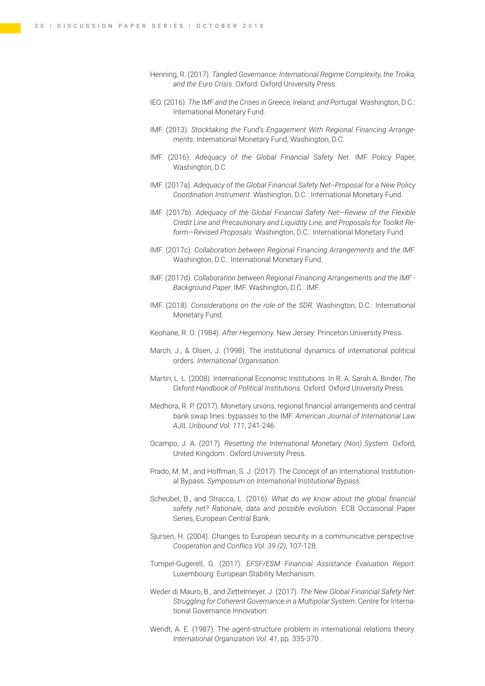- Henning, R. (2017). *Tangled Governance: International Regime Complexity, the Troika, and the Euro Crisis.* Oxford: Oxford University Press.
- IEO. (2016). *The IMF and the Crises in Greece, Ireland, and Portugal.* Washington, D.C.: International Monetary Fund.
- IMF. (2013). *Stocktaking the Fund's Engagement With Regional Financing Arrangements.* International Monetary Fund, Washington, D.C.
- IMF. (2016). *Adequacy of the Global Financial Safety Net.* IMF Policy Paper, Washington, D.C.
- IMF. (2017a). *Adequacy of the Global Financial Safety Net--Proposal for a New Policy Coordination Instrument.* Washington, D.C.: International Monetary Fund.
- IMF. (2017b). *Adequacy of the Global Financial Safety Net—Review of the Flexible Credit Line and Precautionary and Liquidity Line, and Proposals for Toolkit Reform—Revised Proposals.* Washington, D.C.: International Monetary Fund.
- IMF. (2017c). *Collaboration between Regional Financing Arrangements and the IMF.* Washington, D.C.: International Monetary Fund.
- IMF. (2017d). *Collaboration between Regional Financing Arrangements and the IMF Background Paper.* IMF. Washington, D.C.: IMF.
- IMF. (2018). *Considerations on the role of the SDR.* Washington, D.C.: International Monetary Fund.
- Keohane, R. O. (1984). *After Hegemony.* New Jersey: Princeton University Press.
- March, J., & Olsen, J. (1998). The institutional dynamics of international political orders. *International Organisation*.
- Martin, L. L. (2008). International Economic Institutions. In R. A. Sarah A. Binder, *The Oxford Handbook of Political Institutions.* Oxford: Oxford University Press.
- Medhora, R. P. (2017). Monetary unions, regional financial arrangements and central bank swap lines: bypasses to the IMF. *American Journal of International Law AJIL Unbound Vol. 111*, 241-246.
- Ocampo, J. A. (2017). *Resetting the International Monetary (Non) System.* Oxford, United Kingdom : Oxford University Press.
- Prado, M. M., and Hoffman, S. J. (2017). The Concept of an International Institutional Bypass. *Symposium on International Institutional Bypass.*
- Scheubel, B., and Stracca, L. (2016). *What do we know about the global financial safety net? Rationale, data and possible evolution.* ECB Occasional Paper Series, European Central Bank.
- Sjursen, H. (2004). Changes to European security in a communicative perspective. *Cooperation and Conflics Vol. 39 (2)*, 107-128.
- Tumpel-Gugerell, G. (2017). *EFSF/ESM Financial Assistance Evaluation Report.* Luxembourg: European Stability Mechanism.
- Weder di Mauro, B., and Zettelmeyer, J. (2017). *The New Global Financial Safety Net: Struggling for Coherent Governance in a Multipolar System.* Centre for International Governance Innovation.
- Wendt, A. E. (1987). The agent-structure problem in international relations theory. *International Organization Vol. 41*, pp. 335-370 .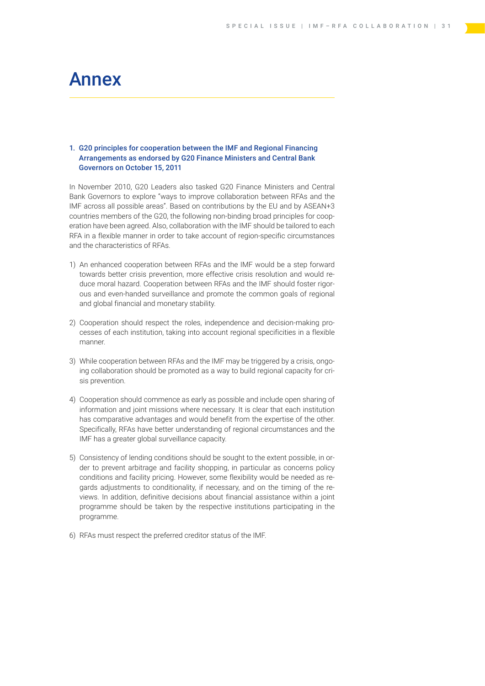## <span id="page-32-0"></span>Annex

#### 1. G20 principles for cooperation between the IMF and Regional Financing Arrangements as endorsed by G20 Finance Ministers and Central Bank Governors on October 15, 2011

In November 2010, G20 Leaders also tasked G20 Finance Ministers and Central Bank Governors to explore "ways to improve collaboration between RFAs and the IMF across all possible areas". Based on contributions by the EU and by ASEAN+3 countries members of the G20, the following non-binding broad principles for cooperation have been agreed. Also, collaboration with the IMF should be tailored to each RFA in a flexible manner in order to take account of region-specific circumstances and the characteristics of RFAs.

- 1) An enhanced cooperation between RFAs and the IMF would be a step forward towards better crisis prevention, more effective crisis resolution and would reduce moral hazard. Cooperation between RFAs and the IMF should foster rigorous and even-handed surveillance and promote the common goals of regional and global financial and monetary stability.
- 2) Cooperation should respect the roles, independence and decision-making processes of each institution, taking into account regional specificities in a flexible manner.
- 3) While cooperation between RFAs and the IMF may be triggered by a crisis, ongoing collaboration should be promoted as a way to build regional capacity for crisis prevention.
- 4) Cooperation should commence as early as possible and include open sharing of information and joint missions where necessary. It is clear that each institution has comparative advantages and would benefit from the expertise of the other. Specifically, RFAs have better understanding of regional circumstances and the IMF has a greater global surveillance capacity.
- 5) Consistency of lending conditions should be sought to the extent possible, in order to prevent arbitrage and facility shopping, in particular as concerns policy conditions and facility pricing. However, some flexibility would be needed as regards adjustments to conditionality, if necessary, and on the timing of the reviews. In addition, definitive decisions about financial assistance within a joint programme should be taken by the respective institutions participating in the programme.
- 6) RFAs must respect the preferred creditor status of the IMF.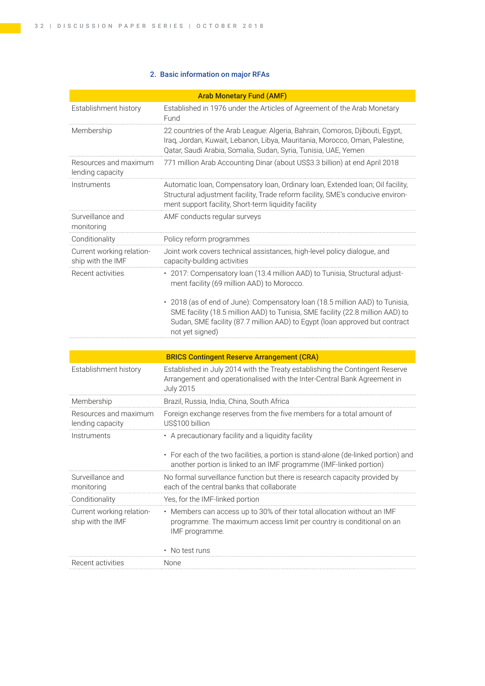## 2. Basic information on major RFAs

| <b>Arab Monetary Fund (AMF)</b>                |                                                                                                                                                                                                                                                                  |  |  |  |
|------------------------------------------------|------------------------------------------------------------------------------------------------------------------------------------------------------------------------------------------------------------------------------------------------------------------|--|--|--|
| Establishment history                          | Established in 1976 under the Articles of Agreement of the Arab Monetary<br>Fund                                                                                                                                                                                 |  |  |  |
| Membership                                     | 22 countries of the Arab League: Algeria, Bahrain, Comoros, Djibouti, Egypt,<br>Iraq, Jordan, Kuwait, Lebanon, Libya, Mauritania, Morocco, Oman, Palestine,<br>Qatar, Saudi Arabia, Somalia, Sudan, Syria, Tunisia, UAE, Yemen                                   |  |  |  |
| Resources and maximum<br>lending capacity      | 771 million Arab Accounting Dinar (about US\$3.3 billion) at end April 2018                                                                                                                                                                                      |  |  |  |
| Instruments                                    | Automatic Ioan, Compensatory Ioan, Ordinary Ioan, Extended Ioan; Oil facility,<br>Structural adjustment facility, Trade reform facility, SME's conducive environ-<br>ment support facility, Short-term liquidity facility                                        |  |  |  |
| Surveillance and<br>monitoring                 | AMF conducts regular surveys                                                                                                                                                                                                                                     |  |  |  |
| Conditionality                                 | Policy reform programmes                                                                                                                                                                                                                                         |  |  |  |
| Current working relation-<br>ship with the IMF | Joint work covers technical assistances, high-level policy dialogue, and<br>capacity-building activities                                                                                                                                                         |  |  |  |
| Recent activities                              | · 2017: Compensatory loan (13.4 million AAD) to Tunisia, Structural adjust-<br>ment facility (69 million AAD) to Morocco.                                                                                                                                        |  |  |  |
|                                                | • 2018 (as of end of June): Compensatory loan (18.5 million AAD) to Tunisia,<br>SME facility (18.5 million AAD) to Tunisia, SME facility (22.8 million AAD) to<br>Sudan, SME facility (87.7 million AAD) to Egypt (loan approved but contract<br>not yet signed) |  |  |  |
|                                                |                                                                                                                                                                                                                                                                  |  |  |  |
|                                                | <b>BRICS Contingent Reserve Arrangement (CRA)</b>                                                                                                                                                                                                                |  |  |  |
| Establishment history                          | Established in July 2014 with the Treaty establishing the Contingent Reserve<br>Arrangement and operationalised with the Inter-Central Bank Agreement in<br><b>July 2015</b>                                                                                     |  |  |  |
| Membership                                     | Brazil, Russia, India, China, South Africa                                                                                                                                                                                                                       |  |  |  |
| Resources and maximum<br>lending capacity      | Foreign exchange reserves from the five members for a total amount of<br>US\$100 billion                                                                                                                                                                         |  |  |  |
| Instruments                                    | • A precautionary facility and a liquidity facility                                                                                                                                                                                                              |  |  |  |
|                                                | • For each of the two facilities, a portion is stand-alone (de-linked portion) and<br>another portion is linked to an IMF programme (IMF-linked portion)                                                                                                         |  |  |  |
| Surveillance and<br>monitoring                 | No formal surveillance function but there is research capacity provided by<br>each of the central banks that collaborate                                                                                                                                         |  |  |  |
| Conditionality                                 | Yes, for the IMF-linked portion                                                                                                                                                                                                                                  |  |  |  |
| Current working relation-<br>ship with the IMF | • Members can access up to 30% of their total allocation without an IMF<br>programme. The maximum access limit per country is conditional on an<br>IMF programme.                                                                                                |  |  |  |
|                                                | • No test runs                                                                                                                                                                                                                                                   |  |  |  |
| Recent activities                              | None                                                                                                                                                                                                                                                             |  |  |  |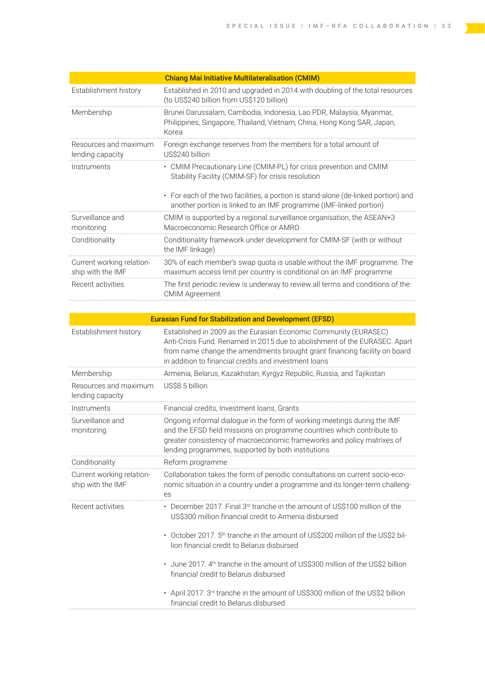<u> Tanzania (</u>

 $\sum_{i=1}^n$ 

|                                                | <b>Chiang Mai Initiative Multilateralisation (CMIM)</b>                                                                                                  |
|------------------------------------------------|----------------------------------------------------------------------------------------------------------------------------------------------------------|
| Establishment history                          | Established in 2010 and upgraded in 2014 with doubling of the total resources<br>(to US\$240 billion from US\$120 billion)                               |
| Membership                                     | Brunei Darussalam, Cambodia, Indonesia, Lao PDR, Malaysia, Myanmar,<br>Philippines, Singapore, Thailand, Vietnam, China, Hong Kong SAR, Japan,<br>Korea  |
| Resources and maximum<br>lending capacity      | Foreign exchange reserves from the members for a total amount of<br>US\$240 billion                                                                      |
| Instruments                                    | • CMIM Precautionary Line (CMIM-PL) for crisis prevention and CMIM<br>Stability Facility (CMIM-SF) for crisis resolution                                 |
|                                                | • For each of the two facilities, a portion is stand-alone (de-linked portion) and<br>another portion is linked to an IMF programme (IMF-linked portion) |
| Surveillance and<br>monitoring                 | CMIM is supported by a regional surveillance organisation, the ASEAN+3<br>Macroeconomic Research Office or AMRO                                          |
| Conditionality                                 | Conditionality framework under development for CMIM-SF (with or without<br>the IMF linkage)                                                              |
| Current working relation-<br>ship with the IMF | 30% of each member's swap quota is usable without the IMF programme. The<br>maximum access limit per country is conditional on an IMF programme          |
| Recent activities                              | The first periodic review is underway to review all terms and conditions of the<br><b>CMIM Agreement</b>                                                 |
|                                                |                                                                                                                                                          |

| <b>Eurasian Fund for Stabilization and Development (EFSD)</b> |                                                                                                                                                                                                                                                                                      |  |  |
|---------------------------------------------------------------|--------------------------------------------------------------------------------------------------------------------------------------------------------------------------------------------------------------------------------------------------------------------------------------|--|--|
| Establishment history                                         | Established in 2009 as the Eurasian Economic Community (EURASEC)<br>Anti-Crisis Fund. Renamed in 2015 due to abolishment of the EURASEC. Apart<br>from name change the amendments brought grant financing facility on board<br>in addition to financial credits and investment loans |  |  |
| Membership                                                    | Armenia, Belarus, Kazakhstan, Kyrgyz Republic, Russia, and Tajikistan                                                                                                                                                                                                                |  |  |
| Resources and maximum<br>lending capacity                     | US\$8.5 billion                                                                                                                                                                                                                                                                      |  |  |
| Instruments                                                   | Financial credits, Investment Ioans, Grants                                                                                                                                                                                                                                          |  |  |
| Surveillance and<br>monitoring                                | Ongoing informal dialogue in the form of working meetings during the IMF<br>and the EFSD field missions on programme countries which contribute to<br>greater consistency of macroeconomic frameworks and policy matrixes of<br>lending programmes, supported by both institutions   |  |  |
| Conditionality                                                | Reform programme                                                                                                                                                                                                                                                                     |  |  |
| Current working relation-<br>ship with the IMF                | Collaboration takes the form of periodic consultations on current socio-eco-<br>nomic situation in a country under a programme and its longer-term challeng-<br>es                                                                                                                   |  |  |
| Recent activities                                             | • December 2017. Final 3 <sup>rd</sup> tranche in the amount of US\$100 million of the<br>US\$300 million financial credit to Armenia disbursed                                                                                                                                      |  |  |
|                                                               | • October 2017. 5 <sup>th</sup> tranche in the amount of US\$200 million of the US\$2 bil-<br>lion financial credit to Belarus disbursed                                                                                                                                             |  |  |
|                                                               | • June 2017. 4 <sup>th</sup> tranche in the amount of US\$300 million of the US\$2 billion<br>financial credit to Belarus disbursed                                                                                                                                                  |  |  |
|                                                               | • April 2017. 3rd tranche in the amount of US\$300 million of the US\$2 billion<br>financial credit to Belarus disbursed                                                                                                                                                             |  |  |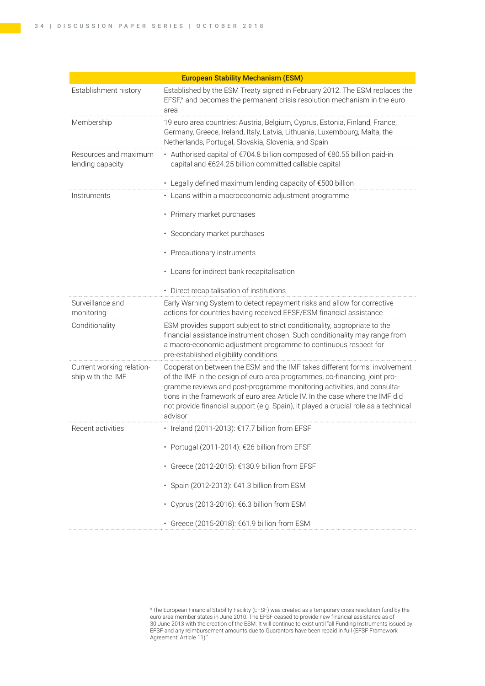|                                                | <b>European Stability Mechanism (ESM)</b>                                                                                                                                                                                                                                                                                                                                                                             |  |  |
|------------------------------------------------|-----------------------------------------------------------------------------------------------------------------------------------------------------------------------------------------------------------------------------------------------------------------------------------------------------------------------------------------------------------------------------------------------------------------------|--|--|
| Establishment history                          | Established by the ESM Treaty signed in February 2012. The ESM replaces the<br>EFSF, <sup>8</sup> and becomes the permanent crisis resolution mechanism in the euro<br>area                                                                                                                                                                                                                                           |  |  |
| Membership                                     | 19 euro area countries: Austria, Belgium, Cyprus, Estonia, Finland, France,<br>Germany, Greece, Ireland, Italy, Latvia, Lithuania, Luxembourg, Malta, the<br>Netherlands, Portugal, Slovakia, Slovenia, and Spain                                                                                                                                                                                                     |  |  |
| Resources and maximum<br>lending capacity      | • Authorised capital of €704.8 billion composed of €80.55 billion paid-in<br>capital and €624.25 billion committed callable capital                                                                                                                                                                                                                                                                                   |  |  |
|                                                | • Legally defined maximum lending capacity of €500 billion                                                                                                                                                                                                                                                                                                                                                            |  |  |
| Instruments                                    | • Loans within a macroeconomic adjustment programme                                                                                                                                                                                                                                                                                                                                                                   |  |  |
|                                                | • Primary market purchases                                                                                                                                                                                                                                                                                                                                                                                            |  |  |
|                                                | · Secondary market purchases                                                                                                                                                                                                                                                                                                                                                                                          |  |  |
|                                                | • Precautionary instruments                                                                                                                                                                                                                                                                                                                                                                                           |  |  |
|                                                | • Loans for indirect bank recapitalisation                                                                                                                                                                                                                                                                                                                                                                            |  |  |
|                                                | • Direct recapitalisation of institutions                                                                                                                                                                                                                                                                                                                                                                             |  |  |
| Surveillance and<br>monitoring                 | Early Warning System to detect repayment risks and allow for corrective<br>actions for countries having received EFSF/ESM financial assistance                                                                                                                                                                                                                                                                        |  |  |
| Conditionality                                 | ESM provides support subject to strict conditionality, appropriate to the<br>financial assistance instrument chosen. Such conditionality may range from<br>a macro-economic adjustment programme to continuous respect for<br>pre-established eligibility conditions                                                                                                                                                  |  |  |
| Current working relation-<br>ship with the IMF | Cooperation between the ESM and the IMF takes different forms: involvement<br>of the IMF in the design of euro area programmes, co-financing, joint pro-<br>gramme reviews and post-programme monitoring activities, and consulta-<br>tions in the framework of euro area Article IV. In the case where the IMF did<br>not provide financial support (e.g. Spain), it played a crucial role as a technical<br>advisor |  |  |
| Recent activities                              | • Ireland (2011-2013): €17.7 billion from EFSF                                                                                                                                                                                                                                                                                                                                                                        |  |  |
|                                                | · Portugal (2011-2014): €26 billion from EFSF                                                                                                                                                                                                                                                                                                                                                                         |  |  |
|                                                | · Greece (2012-2015): €130.9 billion from EFSF                                                                                                                                                                                                                                                                                                                                                                        |  |  |
|                                                | • Spain (2012-2013): €41.3 billion from ESM                                                                                                                                                                                                                                                                                                                                                                           |  |  |
|                                                | • Cyprus (2013-2016): €6.3 billion from ESM                                                                                                                                                                                                                                                                                                                                                                           |  |  |
|                                                | • Greece (2015-2018): €61.9 billion from ESM                                                                                                                                                                                                                                                                                                                                                                          |  |  |

<sup>8</sup> The European Financial Stability Facility (EFSF) was created as a temporary crisis resolution fund by the euro area member states in June 2010. The EFSF ceased to provide new financial assistance as of 30 June 2013 with the creation of the ESM. It will continue to exist until "all Funding Instruments issued by EFSF and any reimbursement amounts due to Guarantors have been repaid in full (EFSF Framework Agreement, Article 11)."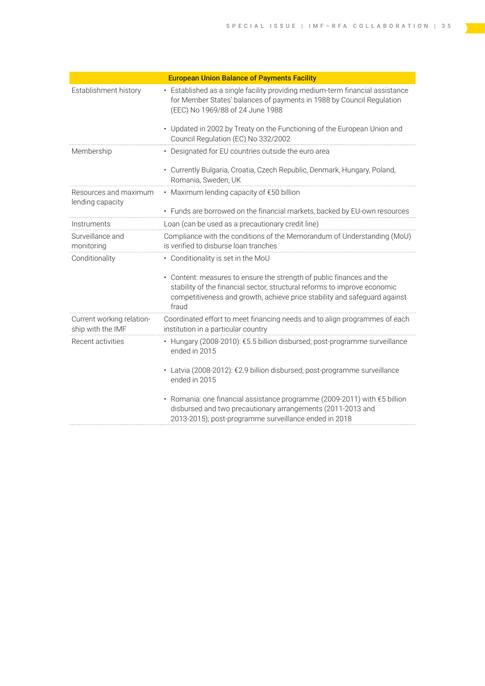÷

| <b>European Union Balance of Payments Facility</b> |                                                                                                                                                                                                                                          |  |  |
|----------------------------------------------------|------------------------------------------------------------------------------------------------------------------------------------------------------------------------------------------------------------------------------------------|--|--|
| Establishment history                              | • Established as a single facility providing medium-term financial assistance<br>for Member States' balances of payments in 1988 by Council Regulation<br>(EEC) No 1969/88 of 24 June 1988                                               |  |  |
|                                                    | • Updated in 2002 by Treaty on the Functioning of the European Union and<br>Council Regulation (EC) No 332/2002                                                                                                                          |  |  |
| Membership                                         | • Designated for EU countries outside the euro area                                                                                                                                                                                      |  |  |
|                                                    | • Currently Bulgaria, Croatia, Czech Republic, Denmark, Hungary, Poland,<br>Romania, Sweden, UK                                                                                                                                          |  |  |
| Resources and maximum<br>lending capacity          | • Maximum lending capacity of $E$ 50 billion                                                                                                                                                                                             |  |  |
|                                                    | • Funds are borrowed on the financial markets, backed by EU-own resources                                                                                                                                                                |  |  |
| Instruments                                        | Loan (can be used as a precautionary credit line)                                                                                                                                                                                        |  |  |
| Surveillance and<br>monitoring                     | Compliance with the conditions of the Memorandum of Understanding (MoU)<br>is verified to disburse loan tranches                                                                                                                         |  |  |
| Conditionality                                     | • Conditionality is set in the MoU                                                                                                                                                                                                       |  |  |
|                                                    | • Content: measures to ensure the strength of public finances and the<br>stability of the financial sector, structural reforms to improve economic<br>competitiveness and growth, achieve price stability and safeguard against<br>fraud |  |  |
| Current working relation-<br>ship with the IMF     | Coordinated effort to meet financing needs and to align programmes of each<br>institution in a particular country                                                                                                                        |  |  |
| Recent activities                                  | · Hungary (2008-2010): €5.5 billion disbursed; post-programme surveillance<br>ended in 2015                                                                                                                                              |  |  |
|                                                    | • Latvia (2008-2012): €2.9 billion disbursed; post-programme surveillance<br>ended in 2015                                                                                                                                               |  |  |
|                                                    | • Romania: one financial assistance programme (2009-2011) with €5 billion<br>disbursed and two precautionary arrangements (2011-2013 and<br>2013-2015); post-programme surveillance ended in 2018                                        |  |  |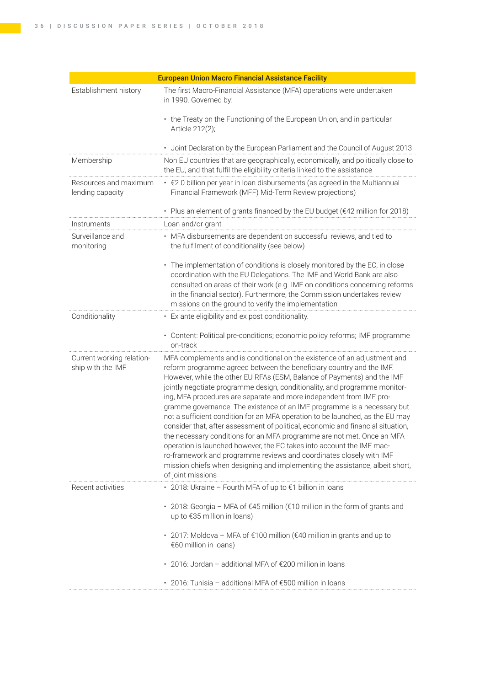| <b>European Union Macro Financial Assistance Facility</b> |                                                                                                                                                                                                                                                                                                                                                                                                                                                                                                                                                                                                                                                                                                                                                                                                                                                                                                                                                                |  |  |
|-----------------------------------------------------------|----------------------------------------------------------------------------------------------------------------------------------------------------------------------------------------------------------------------------------------------------------------------------------------------------------------------------------------------------------------------------------------------------------------------------------------------------------------------------------------------------------------------------------------------------------------------------------------------------------------------------------------------------------------------------------------------------------------------------------------------------------------------------------------------------------------------------------------------------------------------------------------------------------------------------------------------------------------|--|--|
| Establishment history                                     | The first Macro-Financial Assistance (MFA) operations were undertaken<br>in 1990. Governed by:                                                                                                                                                                                                                                                                                                                                                                                                                                                                                                                                                                                                                                                                                                                                                                                                                                                                 |  |  |
|                                                           | • the Treaty on the Functioning of the European Union, and in particular<br>Article 212(2);                                                                                                                                                                                                                                                                                                                                                                                                                                                                                                                                                                                                                                                                                                                                                                                                                                                                    |  |  |
|                                                           | · Joint Declaration by the European Parliament and the Council of August 2013                                                                                                                                                                                                                                                                                                                                                                                                                                                                                                                                                                                                                                                                                                                                                                                                                                                                                  |  |  |
| Membership                                                | Non EU countries that are geographically, economically, and politically close to<br>the EU, and that fulfil the eligibility criteria linked to the assistance                                                                                                                                                                                                                                                                                                                                                                                                                                                                                                                                                                                                                                                                                                                                                                                                  |  |  |
| Resources and maximum<br>lending capacity                 | . €2.0 billion per year in loan disbursements (as agreed in the Multiannual<br>Financial Framework (MFF) Mid-Term Review projections)                                                                                                                                                                                                                                                                                                                                                                                                                                                                                                                                                                                                                                                                                                                                                                                                                          |  |  |
|                                                           | • Plus an element of grants financed by the EU budget (€42 million for 2018)                                                                                                                                                                                                                                                                                                                                                                                                                                                                                                                                                                                                                                                                                                                                                                                                                                                                                   |  |  |
| Instruments                                               | Loan and/or grant                                                                                                                                                                                                                                                                                                                                                                                                                                                                                                                                                                                                                                                                                                                                                                                                                                                                                                                                              |  |  |
| Surveillance and<br>monitoring                            | • MFA disbursements are dependent on successful reviews, and tied to<br>the fulfilment of conditionality (see below)                                                                                                                                                                                                                                                                                                                                                                                                                                                                                                                                                                                                                                                                                                                                                                                                                                           |  |  |
|                                                           | • The implementation of conditions is closely monitored by the EC, in close<br>coordination with the EU Delegations. The IMF and World Bank are also<br>consulted on areas of their work (e.g. IMF on conditions concerning reforms<br>in the financial sector). Furthermore, the Commission undertakes review<br>missions on the ground to verify the implementation                                                                                                                                                                                                                                                                                                                                                                                                                                                                                                                                                                                          |  |  |
| Conditionality                                            | • Ex ante eligibility and ex post conditionality.                                                                                                                                                                                                                                                                                                                                                                                                                                                                                                                                                                                                                                                                                                                                                                                                                                                                                                              |  |  |
|                                                           | • Content: Political pre-conditions; economic policy reforms; IMF programme<br>on-track                                                                                                                                                                                                                                                                                                                                                                                                                                                                                                                                                                                                                                                                                                                                                                                                                                                                        |  |  |
| Current working relation-<br>ship with the IMF            | MFA complements and is conditional on the existence of an adjustment and<br>reform programme agreed between the beneficiary country and the IMF.<br>However, while the other EU RFAs (ESM, Balance of Payments) and the IMF<br>jointly negotiate programme design, conditionality, and programme monitor-<br>ing, MFA procedures are separate and more independent from IMF pro-<br>gramme governance. The existence of an IMF programme is a necessary but<br>not a sufficient condition for an MFA operation to be launched, as the EU may<br>consider that, after assessment of political, economic and financial situation,<br>the necessary conditions for an MFA programme are not met. Once an MFA<br>operation is launched however, the EC takes into account the IMF mac-<br>ro-framework and programme reviews and coordinates closely with IMF<br>mission chiefs when designing and implementing the assistance, albeit short,<br>of joint missions |  |  |
| Recent activities                                         | • 2018: Ukraine - Fourth MFA of up to €1 billion in loans                                                                                                                                                                                                                                                                                                                                                                                                                                                                                                                                                                                                                                                                                                                                                                                                                                                                                                      |  |  |
|                                                           | • 2018: Georgia - MFA of €45 million (€10 million in the form of grants and<br>up to €35 million in loans)                                                                                                                                                                                                                                                                                                                                                                                                                                                                                                                                                                                                                                                                                                                                                                                                                                                     |  |  |
|                                                           | • 2017: Moldova − MFA of €100 million (€40 million in grants and up to<br>€60 million in loans)                                                                                                                                                                                                                                                                                                                                                                                                                                                                                                                                                                                                                                                                                                                                                                                                                                                                |  |  |
|                                                           | • 2016: Jordan - additional MFA of €200 million in loans                                                                                                                                                                                                                                                                                                                                                                                                                                                                                                                                                                                                                                                                                                                                                                                                                                                                                                       |  |  |
|                                                           | • 2016: Tunisia - additional MFA of €500 million in loans                                                                                                                                                                                                                                                                                                                                                                                                                                                                                                                                                                                                                                                                                                                                                                                                                                                                                                      |  |  |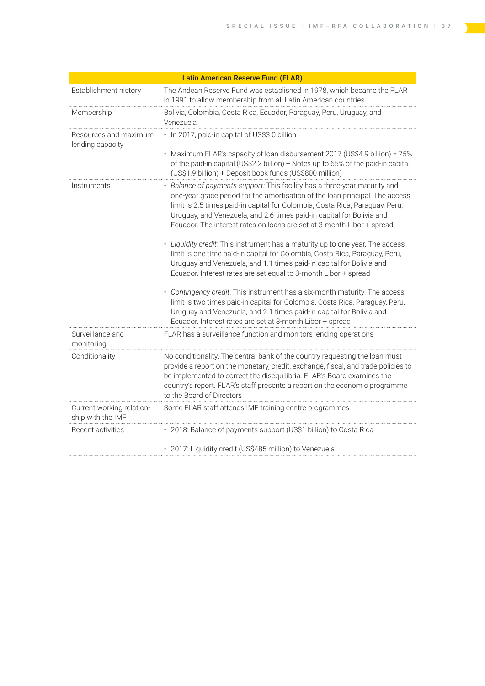|                                                | <b>Latin American Reserve Fund (FLAR)</b>                                                                                                                                                                                                                                                                                                                                                     |
|------------------------------------------------|-----------------------------------------------------------------------------------------------------------------------------------------------------------------------------------------------------------------------------------------------------------------------------------------------------------------------------------------------------------------------------------------------|
| Establishment history                          | The Andean Reserve Fund was established in 1978, which became the FLAR<br>in 1991 to allow membership from all Latin American countries.                                                                                                                                                                                                                                                      |
| Membership                                     | Bolivia, Colombia, Costa Rica, Ecuador, Paraguay, Peru, Uruguay, and<br>Venezuela                                                                                                                                                                                                                                                                                                             |
| Resources and maximum<br>lending capacity      | · In 2017, paid-in capital of US\$3.0 billion                                                                                                                                                                                                                                                                                                                                                 |
|                                                | • Maximum FLAR's capacity of loan disbursement 2017 (US\$4.9 billion) = 75%<br>of the paid-in capital (US\$2.2 billion) + Notes up to 65% of the paid-in capital<br>(US\$1.9 billion) + Deposit book funds (US\$800 million)                                                                                                                                                                  |
| Instruments                                    | • Balance of payments support: This facility has a three-year maturity and<br>one-year grace period for the amortisation of the loan principal. The access<br>limit is 2.5 times paid-in capital for Colombia, Costa Rica, Paraguay, Peru,<br>Uruguay, and Venezuela, and 2.6 times paid-in capital for Bolivia and<br>Ecuador. The interest rates on loans are set at 3-month Libor + spread |
|                                                | • Liquidity credit: This instrument has a maturity up to one year. The access<br>limit is one time paid-in capital for Colombia, Costa Rica, Paraguay, Peru,<br>Uruguay and Venezuela, and 1.1 times paid-in capital for Bolivia and<br>Ecuador. Interest rates are set equal to 3-month Libor + spread                                                                                       |
|                                                | • Contingency credit: This instrument has a six-month maturity. The access<br>limit is two times paid-in capital for Colombia, Costa Rica, Paraguay, Peru,<br>Uruguay and Venezuela, and 2.1 times paid-in capital for Bolivia and<br>Ecuador. Interest rates are set at 3-month Libor + spread                                                                                               |
| Surveillance and<br>monitoring                 | FLAR has a surveillance function and monitors lending operations                                                                                                                                                                                                                                                                                                                              |
| Conditionality                                 | No conditionality. The central bank of the country requesting the loan must<br>provide a report on the monetary, credit, exchange, fiscal, and trade policies to<br>be implemented to correct the disequilibria. FLAR's Board examines the<br>country's report. FLAR's staff presents a report on the economic programme<br>to the Board of Directors                                         |
| Current working relation-<br>ship with the IMF | Some FLAR staff attends IMF training centre programmes                                                                                                                                                                                                                                                                                                                                        |
| Recent activities                              | • 2018: Balance of payments support (US\$1 billion) to Costa Rica                                                                                                                                                                                                                                                                                                                             |
|                                                | · 2017: Liquidity credit (US\$485 million) to Venezuela                                                                                                                                                                                                                                                                                                                                       |